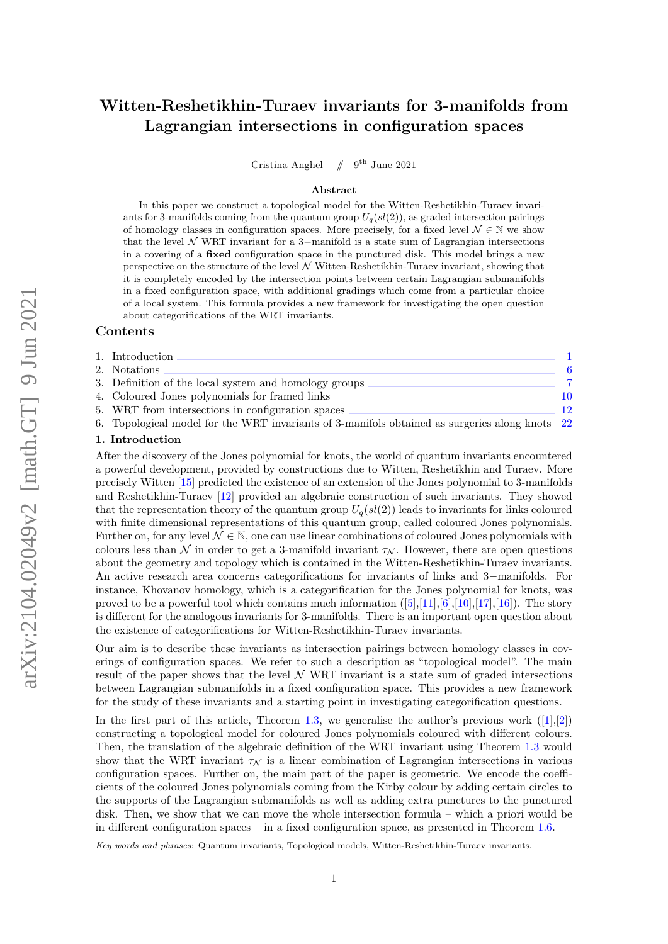# **Witten-Reshetikhin-Turaev invariants for 3-manifolds from Lagrangian intersections in configuration spaces**

Cristina Anghel //  $9^{\text{th}}$  June 2021

#### **Abstract**

In this paper we construct a topological model for the Witten-Reshetikhin-Turaev invariants for 3-manifolds coming from the quantum group  $U_q(sl(2))$ , as graded intersection pairings of homology classes in configuration spaces. More precisely, for a fixed level  $\mathcal{N} \in \mathbb{N}$  we show that the level  $N$  WRT invariant for a 3-manifold is a state sum of Lagrangian intersections in a covering of a **fixed** configuration space in the punctured disk. This model brings a new perspective on the structure of the level  $\mathcal N$  Witten-Reshetikhin-Turaev invariant, showing that it is completely encoded by the intersection points between certain Lagrangian submanifolds in a fixed configuration space, with additional gradings which come from a particular choice of a local system. This formula provides a new framework for investigating the open question about categorifications of the WRT invariants.

# **Contents**

| 1. Introduction                                                                                |    |
|------------------------------------------------------------------------------------------------|----|
| 2. Notations                                                                                   |    |
| 3. Definition of the local system and homology groups                                          |    |
| 4. Coloured Jones polynomials for framed links                                                 | 10 |
| 5. WRT from intersections in configuration spaces                                              | 19 |
| 6. Topological model for the WRT invariants of 3-manifols obtained as surgeries along knots 22 |    |

#### <span id="page-0-0"></span>**1. Introduction**

After the discovery of the Jones polynomial for knots, the world of quantum invariants encountered a powerful development, provided by constructions due to Witten, Reshetikhin and Turaev. More precisely Witten [\[15\]](#page-23-0) predicted the existence of an extension of the Jones polynomial to 3-manifolds and Reshetikhin-Turaev [\[12\]](#page-23-1) provided an algebraic construction of such invariants. They showed that the representation theory of the quantum group  $U_q(sl(2))$  leads to invariants for links coloured with finite dimensional representations of this quantum group, called coloured Jones polynomials. Further on, for any level  $\mathcal{N} \in \mathbb{N}$ , one can use linear combinations of coloured Jones polynomials with colours less than N in order to get a 3-manifold invariant  $\tau_N$ . However, there are open questions about the geometry and topology which is contained in the Witten-Reshetikhin-Turaev invariants. An active research area concerns categorifications for invariants of links and 3−manifolds. For instance, Khovanov homology, which is a categorification for the Jones polynomial for knots, was proved to be a powerful tool which contains much information  $([5],[11],[6],[10],[17],[16])$  $([5],[11],[6],[10],[17],[16])$  $([5],[11],[6],[10],[17],[16])$  $([5],[11],[6],[10],[17],[16])$  $([5],[11],[6],[10],[17],[16])$  $([5],[11],[6],[10],[17],[16])$  $([5],[11],[6],[10],[17],[16])$  $([5],[11],[6],[10],[17],[16])$  $([5],[11],[6],[10],[17],[16])$  $([5],[11],[6],[10],[17],[16])$  $([5],[11],[6],[10],[17],[16])$  $([5],[11],[6],[10],[17],[16])$  $([5],[11],[6],[10],[17],[16])$ . The story is different for the analogous invariants for 3-manifolds. There is an important open question about the existence of categorifications for Witten-Reshetikhin-Turaev invariants.

Our aim is to describe these invariants as intersection pairings between homology classes in coverings of configuration spaces. We refer to such a description as "topological model". The main result of the paper shows that the level  $N$  WRT invariant is a state sum of graded intersections between Lagrangian submanifolds in a fixed configuration space. This provides a new framework for the study of these invariants and a starting point in investigating categorification questions.

In the first part of this article, Theorem [1.3,](#page-2-0) we generalise the author's previous work  $([1],[2])$  $([1],[2])$  $([1],[2])$  $([1],[2])$  $([1],[2])$ constructing a topological model for coloured Jones polynomials coloured with different colours. Then, the translation of the algebraic definition of the WRT invariant using Theorem [1.3](#page-2-0) would show that the WRT invariant  $\tau_N$  is a linear combination of Lagrangian intersections in various configuration spaces. Further on, the main part of the paper is geometric. We encode the coefficients of the coloured Jones polynomials coming from the Kirby colour by adding certain circles to the supports of the Lagrangian submanifolds as well as adding extra punctures to the punctured disk. Then, we show that we can move the whole intersection formula – which a priori would be in different configuration spaces – in a fixed configuration space, as presented in Theorem [1.6.](#page-3-0)

*Key words and phrases*: Quantum invariants, Topological models, Witten-Reshetikhin-Turaev invariants.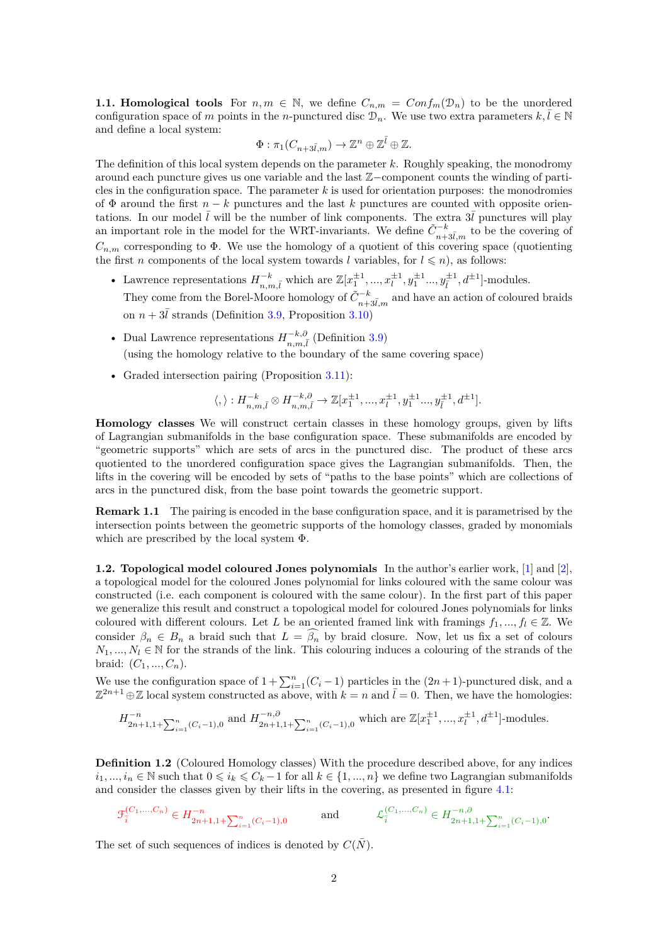**1.1. Homological tools** For  $n, m \in \mathbb{N}$ , we define  $C_{n,m} = Conf_m(\mathcal{D}_n)$  to be the unordered configuration space of *m* points in the *n*-punctured disc  $\mathcal{D}_n$ . We use two extra parameters  $k, \overline{l} \in \mathbb{N}$ and define a local system:

$$
\Phi: \pi_1(C_{n+3\bar l,m}) \to \mathbb{Z}^n \oplus \mathbb{Z}^{\bar l} \oplus \mathbb{Z}.
$$

The definition of this local system depends on the parameter *k*. Roughly speaking, the monodromy around each puncture gives us one variable and the last Z−component counts the winding of particles in the configuration space. The parameter *k* is used for orientation purposes: the monodromies of  $\Phi$  around the first  $n - k$  punctures and the last k punctures are counted with opposite orientations. In our model  $\overline{l}$  will be the number of link components. The extra  $3\overline{l}$  punctures will play an important role in the model for the WRT-invariants. We define  $\tilde{C}_{n+3\bar{l},m}^{-k}$  to be the covering of  $C_{n,m}$  corresponding to  $\Phi$ . We use the homology of a quotient of this covering space (quotienting the first *n* components of the local system towards *l* variables, for  $l \leq n$ , as follows:

- Lawrence representations  $H_{n,m,\bar{l}}^{-k}$  which are  $\mathbb{Z}[x_1^{\pm 1},...,x_l^{\pm 1},y_1^{\pm 1}...,y_l^{\pm 1},d^{\pm 1}]$ -modules. They come from the Borel-Moore homology of  $\tilde{C}_{n+3\bar{l},m}^{-k}$  and have an action of coloured braids on  $n + 3\bar{l}$  strands (Definition [3.9,](#page-8-0) Proposition [3.10\)](#page-8-1)
- Dual Lawrence representations  $H_{n,m,\bar{l}}^{-k,\partial}$  (Definition [3.9\)](#page-8-0) (using the homology relative to the boundary of the same covering space)
- Graded intersection pairing (Proposition [3.11\)](#page-8-2):

$$
\langle , \rangle : H^{-k}_{n,m,\bar{l}} \otimes H^{-k,\partial}_{n,m,\bar{l}} \to \mathbb{Z}[x_1^{\pm 1},...,x_l^{\pm 1},y_1^{\pm 1}..., y_{\bar{l}}^{\pm 1}, d^{\pm 1}].
$$

**Homology classes** We will construct certain classes in these homology groups, given by lifts of Lagrangian submanifolds in the base configuration space. These submanifolds are encoded by "geometric supports" which are sets of arcs in the punctured disc. The product of these arcs quotiented to the unordered configuration space gives the Lagrangian submanifolds. Then, the lifts in the covering will be encoded by sets of "paths to the base points" which are collections of arcs in the punctured disk, from the base point towards the geometric support.

<span id="page-1-0"></span>**Remark 1.1** The pairing is encoded in the base configuration space, and it is parametrised by the intersection points between the geometric supports of the homology classes, graded by monomials which are prescribed by the local system Φ.

**1.2. Topological model coloured Jones polynomials** In the author's earlier work, [\[1\]](#page-22-1) and [\[2\]](#page-22-2), a topological model for the coloured Jones polynomial for links coloured with the same colour was constructed (i.e. each component is coloured with the same colour). In the first part of this paper we generalize this result and construct a topological model for coloured Jones polynomials for links coloured with different colours. Let *L* be an oriented framed link with framings  $f_1, ..., f_l \in \mathbb{Z}$ . We consider  $\beta_n \in B_n$  a braid such that  $L = \widehat{\beta_n}$  by braid closure. Now, let us fix a set of colours  $N_1, ..., N_l \in \mathbb{N}$  for the strands of the link. This colouring induces a colouring of the strands of the braid:  $(C_1, ..., C_n)$ .

We use the configuration space of  $1 + \sum_{i=1}^{n} (C_i - 1)$  particles in the  $(2n + 1)$ -punctured disk, and a  $\mathbb{Z}^{2n+1} \oplus \mathbb{Z}$  local system constructed as above, with  $k = n$  and  $\overline{l} = 0$ . Then, we have the homologies:

$$
H_{2n+1,1+\sum_{i=1}^n(C_i-1),0}^{-n} \text{ and } H_{2n+1,1+\sum_{i=1}^n(C_i-1),0}^{-n,0} \text{ which are } \mathbb{Z}[x_1^{\pm 1},...,x_l^{\pm 1},d^{\pm 1}]\text{-modules.}
$$

**Definition 1.2** (Coloured Homology classes) With the procedure described above, for any indices  $i_1, ..., i_n \in \mathbb{N}$  such that  $0 \leq i_k \leq C_k - 1$  for all  $k \in \{1, ..., n\}$  we define two Lagrangian submanifolds and consider the classes given by their lifts in the covering, as presented in figure [4.1:](#page-10-0)

$$
\mathcal{F}_{\overline{i}}^{(C_1,...,C_n)} \in H_{2n+1,1+\sum_{i=1}^n (C_i-1),0}^{-n} \qquad \text{and} \qquad \mathcal{L}_{\overline{i}}^{(C_1,...,C_n)} \in H_{2n+1,1+\sum_{i=1}^n (C_i-1),0}^{-n,0}.
$$

The set of such sequences of indices is denoted by  $C(N)$ .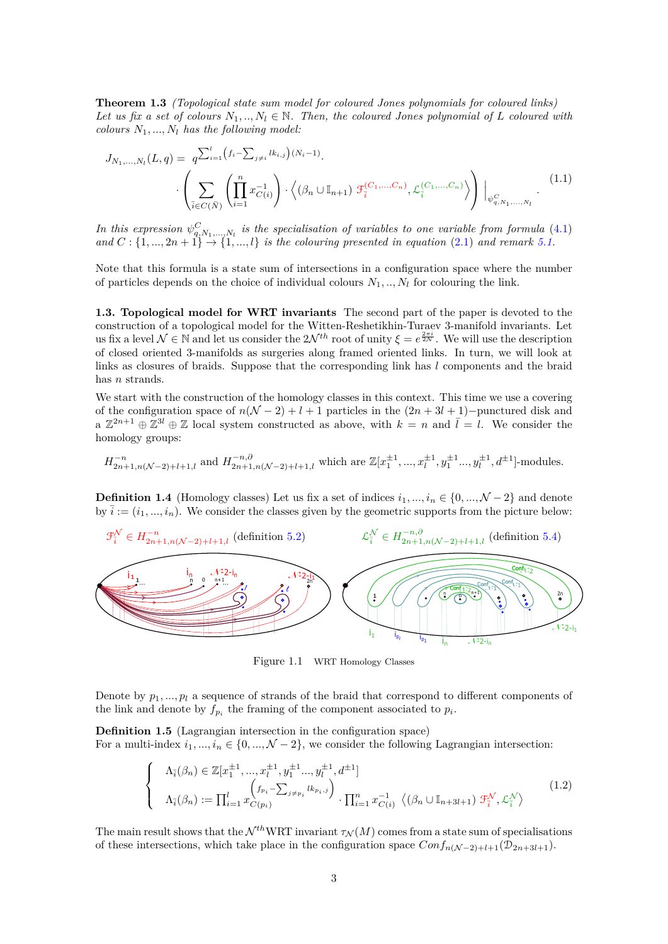<span id="page-2-0"></span>**Theorem 1.3** *(Topological state sum model for coloured Jones polynomials for coloured links) Let us fix a set of colours*  $N_1, ..., N_l \in \mathbb{N}$ . Then, the coloured Jones polynomial of L coloured with *colours*  $N_1, ..., N_l$  *has the following model:* 

$$
J_{N_1,...,N_l}(L,q) = q^{\sum_{i=1}^l (f_i - \sum_{j \neq i} lk_{i,j})(N_i - 1)} \cdot \left( \sum_{\bar{i} \in C(\bar{N})} \left( \prod_{i=1}^n x_{C(i)}^{-1} \right) \cdot \left\langle (\beta_n \cup \mathbb{I}_{n+1}) \mathcal{F}_{\bar{i}}^{(C_1,...,C_n)}, \mathcal{L}_{\bar{i}}^{(C_1,...,C_n)} \right\rangle \right) \Big|_{\psi_{q,N_1,...,N_l}^C} (1.1)
$$

*In this expression*  $\psi_{q,N_1,...,N_l}^C$  *is the specialisation of variables to one variable from formula* [\(4.1\)](#page-10-1)  $\{a, a \in \mathbb{C} : \{1, ..., 2n + 1\} \to \{1, ..., l\}$  *is the colouring presented in equation* [\(2.1\)](#page-5-1) *and remark* [5.1.](#page-13-0)

Note that this formula is a state sum of intersections in a configuration space where the number of particles depends on the choice of individual colours  $N_1, ..., N_l$  for colouring the link.

**1.3. Topological model for WRT invariants** The second part of the paper is devoted to the construction of a topological model for the Witten-Reshetikhin-Turaev 3-manifold invariants. Let us fix a level  $\mathcal{N} \in \mathbb{N}$  and let us consider the  $2\mathcal{N}^{th}$  root of unity  $\xi = e^{\frac{2\pi i}{2\mathcal{N}}}$ . We will use the description of closed oriented 3-manifolds as surgeries along framed oriented links. In turn, we will look at links as closures of braids. Suppose that the corresponding link has *l* components and the braid has *n* strands.

We start with the construction of the homology classes in this context. This time we use a covering of the configuration space of  $n(\mathcal{N} - 2) + l + 1$  particles in the  $(2n + 3l + 1)$ −punctured disk and a  $\mathbb{Z}^{2n+1} \oplus \mathbb{Z}^{3l} \oplus \mathbb{Z}$  local system constructed as above, with  $k = n$  and  $\overline{l} = l$ . We consider the homology groups:

$$
H_{2n+1,n(\mathcal{N}-2)+l+1,l}^{-n} \text{ and } H_{2n+1,n(\mathcal{N}-2)+l+1,l}^{-n,\partial} \text{ which are } \mathbb{Z}[x_1^{\pm 1},...,x_l^{\pm 1},y_1^{\pm 1}...,y_l^{\pm 1},d^{\pm 1}]\text{-modules.}
$$

**Definition 1.4** (Homology classes) Let us fix a set of indices  $i_1, ..., i_n \in \{0, ..., \mathcal{N} - 2\}$  and denote by  $\overline{i}$  :=  $(i_1, ..., i_n)$ . We consider the classes given by the geometric supports from the picture below:



Figure 1.1 WRT Homology Classes

Denote by  $p_1, ..., p_l$  a sequence of strands of the braid that correspond to different components of the link and denote by  $f_{p_i}$  the framing of the component associated to  $p_i$ .

**Definition 1.5** (Lagrangian intersection in the configuration space) For a multi-index  $i_1, ..., i_n \in \{0, ..., \mathcal{N} - 2\}$ , we consider the following Lagrangian intersection:

$$
\begin{cases}\n\Lambda_{\bar{i}}(\beta_n) \in \mathbb{Z}[x_1^{\pm 1}, ..., x_l^{\pm 1}, y_1^{\pm 1} ..., y_l^{\pm 1}, d^{\pm 1}] \\
\Lambda_{\bar{i}}(\beta_n) := \prod_{i=1}^l x_{C(p_i)}^{(f_{p_i} - \sum_{j \neq p_i} lk_{p_i, j}) \cdot \prod_{i=1}^n x_{C(i)}^{-1} \langle (\beta_n \cup \mathbb{I}_{n+3l+1}) \mathcal{F}_{\bar{i}}^{\mathcal{N}}, \mathcal{L}_{\bar{i}}^{\mathcal{N}} \rangle\n\end{cases} (1.2)
$$

The main result shows that the  $\mathcal{N}^{th}WRT$  invariant  $\tau_N(M)$  comes from a state sum of specialisations of these intersections, which take place in the configuration space  $Conf_{n(N-2)+l+1}(\mathcal{D}_{2n+3l+1}).$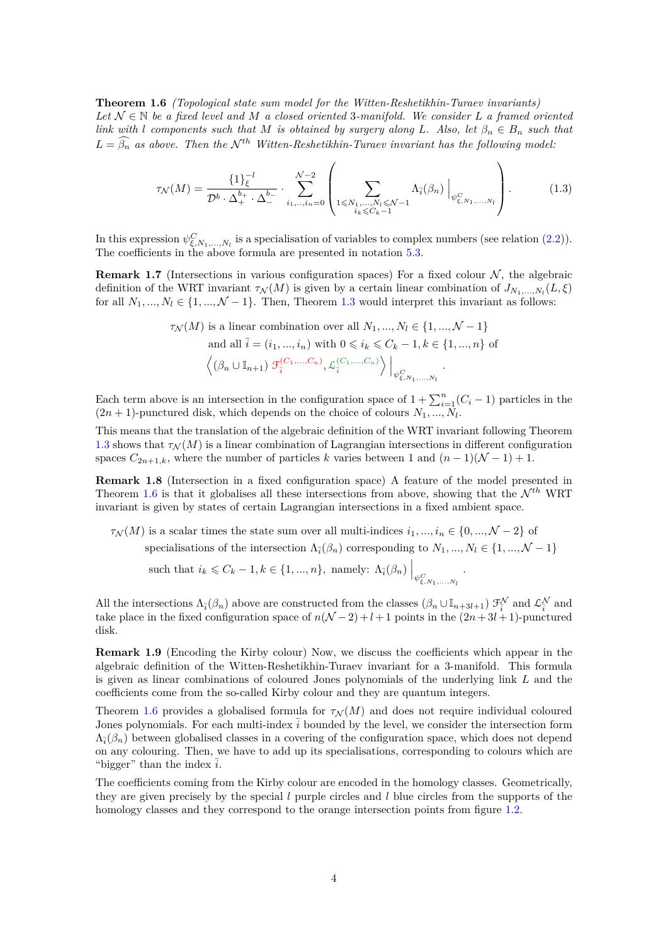<span id="page-3-0"></span>**Theorem 1.6** *(Topological state sum model for the Witten-Reshetikhin-Turaev invariants) Let* N ∈ N *be a fixed level and M a closed oriented* 3*-manifold. We consider L a framed oriented link with l components such that M is obtained by surgery along L. Also, let*  $\beta_n \in B_n$  *such that*  $L = \widehat{\beta_n}$  *as above. Then the*  $\mathcal{N}^{th}$  *Witten-Reshetikhin-Turaev invariant has the following model:* 

$$
\tau_{\mathcal{N}}(M) = \frac{\{1\}_{\xi}^{-l}}{\mathcal{D}^{b} \cdot \Delta_{+}^{b_{+}} \cdot \Delta_{-}^{b_{-}}} \cdot \sum_{i_{1},..,i_{n}=0}^{\mathcal{N}-2} \left( \sum_{1 \leq N_{1},...,N_{l} \leq N-1} \Lambda_{\bar{i}}(\beta_{n}) \Big|_{\psi_{\xi,N_{1},...,N_{l}}^{C}} \right). \tag{1.3}
$$

In this expression  $\psi^C_{\xi,N_1,\dots,N_l}$  is a specialisation of variables to complex numbers (see relation [\(2.2\)](#page-5-2)). The coefficients in the above formula are presented in notation [5.3.](#page-13-1)

**Remark 1.7** (Intersections in various configuration spaces) For a fixed colour  $N$ , the algebraic definition of the WRT invariant  $\tau_N(M)$  is given by a certain linear combination of  $J_{N_1,...,N_l}(L,\xi)$ for all  $N_1, ..., N_l \in \{1, ..., \mathcal{N} - 1\}$ . Then, Theorem [1.3](#page-2-0) would interpret this invariant as follows:

$$
\tau_{\mathcal{N}}(M) \text{ is a linear combination over all } N_1, \dots, N_l \in \{1, \dots, \mathcal{N} - 1\}
$$
  
and all  $\overline{i} = (i_1, \dots, i_n)$  with  $0 \le i_k \le C_k - 1, k \in \{1, \dots, n\}$  of  

$$
\left\langle (\beta_n \cup \mathbb{I}_{n+1}) \mathcal{F}_i^{(C_1, \dots, C_n)}, \mathcal{L}_i^{(C_1, \dots, C_n)} \right\rangle \Big|_{\psi_{\xi, N_1, \dots, N_l}^C}.
$$

Each term above is an intersection in the configuration space of  $1 + \sum_{i=1}^{n} (C_i - 1)$  particles in the  $(2n + 1)$ -punctured disk, which depends on the choice of colours  $N_1, ..., N_l$ .

This means that the translation of the algebraic definition of the WRT invariant following Theorem [1.3](#page-2-0) shows that  $\tau_N(M)$  is a linear combination of Lagrangian intersections in different configuration spaces  $C_{2n+1,k}$ , where the number of particles *k* varies between 1 and  $(n-1)(N-1) + 1$ .

**Remark 1.8** (Intersection in a fixed configuration space) A feature of the model presented in Theorem [1.6](#page-3-0) is that it globalises all these intersections from above, showing that the  $\mathcal{N}^{th}$  WRT invariant is given by states of certain Lagrangian intersections in a fixed ambient space.

 $\tau_N(M)$  is a scalar times the state sum over all multi-indices  $i_1, ..., i_n \in \{0, ..., \mathcal{N} - 2\}$  of specialisations of the intersection  $\Lambda_{\bar{i}}(\beta_n)$  corresponding to  $N_1, ..., N_l \in \{1, ..., \mathcal{N} - 1\}$ such that  $i_k \leq C_k - 1, k \in \{1, ..., n\}$ , namely:  $\Lambda_{\bar{i}}(\beta_n) \Big|_{\psi_{\xi, N_1, ..., N_l}^C}$ *.*

All the intersections  $\Lambda_{\bar{i}}(\beta_n)$  above are constructed from the classes  $(\beta_n \cup \mathbb{I}_{n+3l+1})$   $\mathcal{F}_{\bar{i}}^{\mathcal{N}}$  and  $\mathcal{L}_{\bar{i}}^{\mathcal{N}}$  and take place in the fixed configuration space of  $n(\mathcal{N} - 2) + l + 1$  points in the  $(2n + 3l + 1)$ -punctured disk.

**Remark 1.9** (Encoding the Kirby colour) Now, we discuss the coefficients which appear in the algebraic definition of the Witten-Reshetikhin-Turaev invariant for a 3-manifold. This formula is given as linear combinations of coloured Jones polynomials of the underlying link *L* and the coefficients come from the so-called Kirby colour and they are quantum integers.

Theorem [1.6](#page-3-0) provides a globalised formula for  $\tau_N(M)$  and does not require individual coloured Jones polynomials. For each multi-index  $\overline{i}$  bounded by the level, we consider the intersection form  $\Lambda_{\bar{i}}(\beta_n)$  between globalised classes in a covering of the configuration space, which does not depend on any colouring. Then, we have to add up its specialisations, corresponding to colours which are "bigger" than the index  $\overline{i}$ .

The coefficients coming from the Kirby colour are encoded in the homology classes. Geometrically, they are given precisely by the special *l* purple circles and *l* blue circles from the supports of the homology classes and they correspond to the orange intersection points from figure [1.2.](#page-4-0)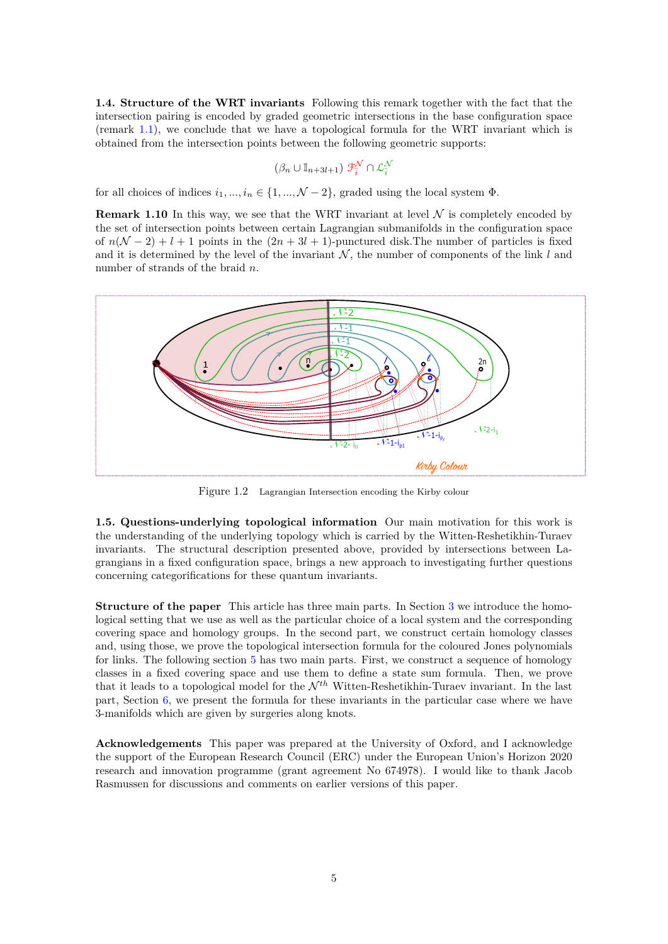**1.4. Structure of the WRT invariants** Following this remark together with the fact that the intersection pairing is encoded by graded geometric intersections in the base configuration space (remark [1.1\)](#page-1-0), we conclude that we have a topological formula for the WRT invariant which is obtained from the intersection points between the following geometric supports:

$$
(\beta_n \cup \mathbb{I}_{n+3l+1}) \mathcal{F}_i^{\mathcal{N}} \cap \mathcal{L}_i^{\mathcal{N}}
$$

for all choices of indices  $i_1, ..., i_n \in \{1, ..., \mathcal{N} - 2\}$ , graded using the local system  $\Phi$ .

**Remark 1.10** In this way, we see that the WRT invariant at level  $N$  is completely encoded by the set of intersection points between certain Lagrangian submanifolds in the configuration space of  $n(N-2) + l + 1$  points in the  $(2n + 3l + 1)$ -punctured disk. The number of particles is fixed and it is determined by the level of the invariant  $N$ , the number of components of the link  $l$  and number of strands of the braid *n*.

<span id="page-4-0"></span>

Figure 1.2 Lagrangian Intersection encoding the Kirby colour

**1.5. Questions-underlying topological information** Our main motivation for this work is the understanding of the underlying topology which is carried by the Witten-Reshetikhin-Turaev invariants. The structural description presented above, provided by intersections between Lagrangians in a fixed configuration space, brings a new approach to investigating further questions concerning categorifications for these quantum invariants.

**Structure of the paper** This article has three main parts. In Section [3](#page-6-0) we introduce the homological setting that we use as well as the particular choice of a local system and the corresponding covering space and homology groups. In the second part, we construct certain homology classes and, using those, we prove the topological intersection formula for the coloured Jones polynomials for links. The following section [5](#page-11-0) has two main parts. First, we construct a sequence of homology classes in a fixed covering space and use them to define a state sum formula. Then, we prove that it leads to a topological model for the  $\mathcal{N}^{th}$  Witten-Reshetikhin-Turaev invariant. In the last part, Section [6,](#page-21-0) we present the formula for these invariants in the particular case where we have 3-manifolds which are given by surgeries along knots.

**Acknowledgements** This paper was prepared at the University of Oxford, and I acknowledge the support of the European Research Council (ERC) under the European Union's Horizon 2020 research and innovation programme (grant agreement No 674978). I would like to thank Jacob Rasmussen for discussions and comments on earlier versions of this paper.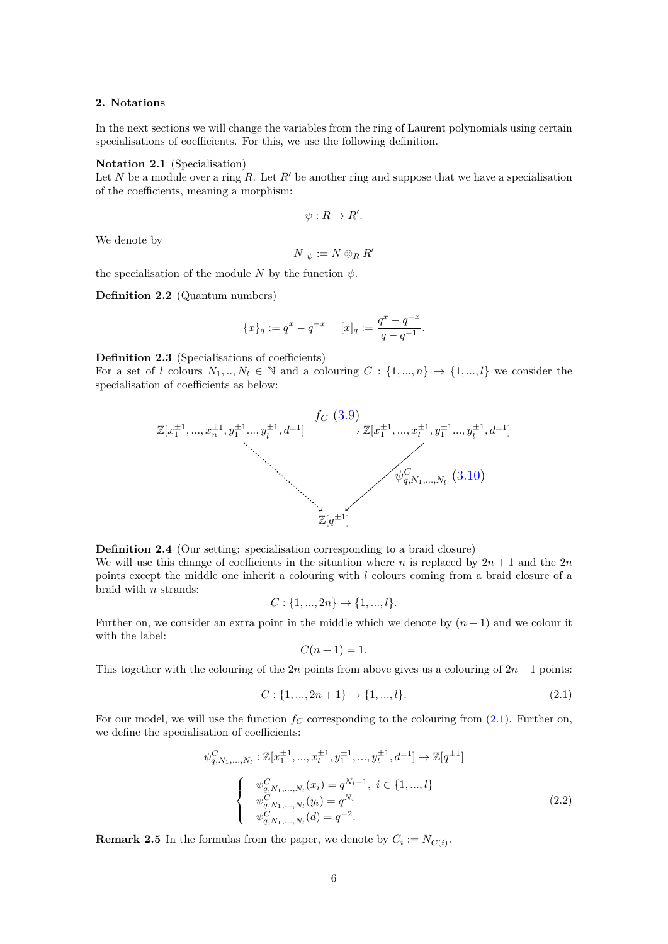#### <span id="page-5-0"></span>**2. Notations**

In the next sections we will change the variables from the ring of Laurent polynomials using certain specialisations of coefficients. For this, we use the following definition.

#### **Notation 2.1** (Specialisation)

Let *N* be a module over a ring *R*. Let  $R'$  be another ring and suppose that we have a specialisation of the coefficients, meaning a morphism:

$$
\psi: R \to R'.
$$

We denote by

$$
N|_{\psi}:=N\otimes_R R'
$$

the specialisation of the module *N* by the function  $\psi$ .

**Definition 2.2** (Quantum numbers)

$$
\{x\}_q := q^x - q^{-x} \qquad [x]_q := \frac{q^x - q^{-x}}{q - q^{-1}}.
$$

**Definition 2.3** (Specialisations of coefficients)

For a set of *l* colours  $N_1, ..., N_l \in \mathbb{N}$  and a colouring  $C: \{1, ..., n\} \to \{1, ..., l\}$  we consider the specialisation of coefficients as below:



**Definition 2.4** (Our setting: specialisation corresponding to a braid closure) We will use this change of coefficients in the situation where *n* is replaced by  $2n + 1$  and the 2*n* points except the middle one inherit a colouring with *l* colours coming from a braid closure of a braid with *n* strands:

$$
C: \{1, ..., 2n\} \to \{1, ..., l\}.
$$

Further on, we consider an extra point in the middle which we denote by  $(n+1)$  and we colour it with the label:

$$
C(n+1) = 1.
$$

This together with the colouring of the 2*n* points from above gives us a colouring of  $2n + 1$  points:

<span id="page-5-1"></span>
$$
C: \{1, ..., 2n + 1\} \to \{1, ..., l\}.
$$
\n(2.1)

For our model, we will use the function  $f_C$  corresponding to the colouring from  $(2.1)$ . Further on, we define the specialisation of coefficients:

<span id="page-5-2"></span>
$$
\psi_{q,N_1,\ldots,N_l}^C: \mathbb{Z}[x_1^{\pm 1}, \ldots, x_l^{\pm 1}, y_1^{\pm 1}, \ldots, y_l^{\pm 1}, d^{\pm 1}] \to \mathbb{Z}[q^{\pm 1}]
$$
\n
$$
\begin{cases}\n\psi_{q,N_1,\ldots,N_l}^C(x_i) = q^{N_i - 1}, \ i \in \{1, \ldots, l\} \\
\psi_{q,N_1,\ldots,N_l}^C(y_i) = q^{N_i} \\
\psi_{q,N_1,\ldots,N_l}^C(d) = q^{-2}.\n\end{cases}
$$
\n(2.2)

**Remark 2.5** In the formulas from the paper, we denote by  $C_i := N_{C(i)}$ .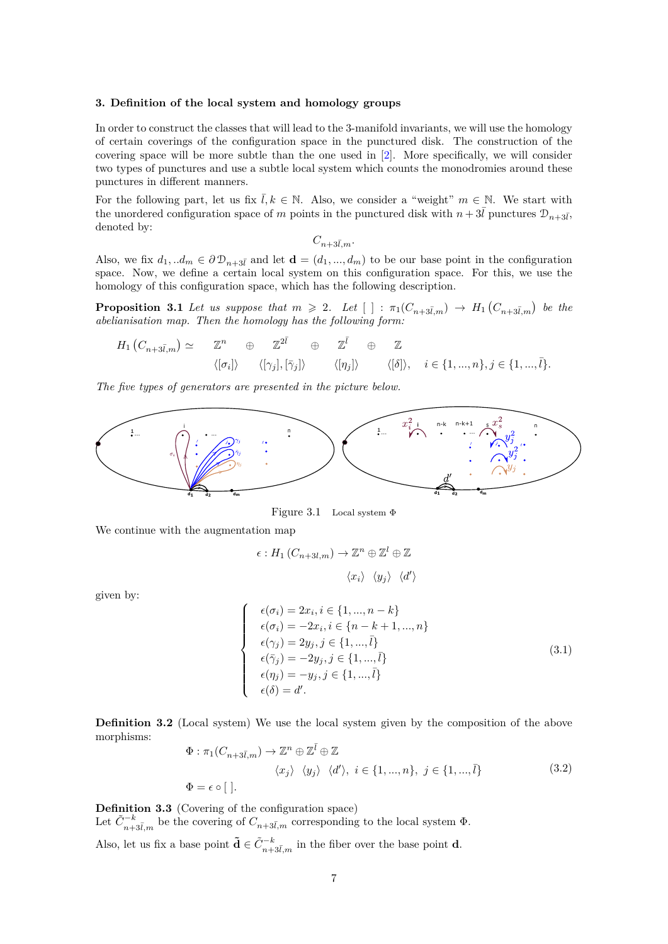## <span id="page-6-0"></span>**3. Definition of the local system and homology groups**

In order to construct the classes that will lead to the 3-manifold invariants, we will use the homology of certain coverings of the configuration space in the punctured disk. The construction of the covering space will be more subtle than the one used in [\[2\]](#page-22-2). More specifically, we will consider two types of punctures and use a subtle local system which counts the monodromies around these punctures in different manners.

For the following part, let us fix  $\overline{l}, k \in \mathbb{N}$ . Also, we consider a "weight"  $m \in \mathbb{N}$ . We start with the unordered configuration space of *m* points in the punctured disk with  $n + 3\bar{l}$  punctures  $\mathcal{D}_{n+3\bar{l}}$ , denoted by:

$$
C_{n+3\bar l,m}.
$$

Also, we fix  $d_1, d_m \in \partial \mathcal{D}_{n+3\bar{l}}$  and let  $\mathbf{d} = (d_1, ..., d_m)$  to be our base point in the configuration space. Now, we define a certain local system on this configuration space. For this, we use the homology of this configuration space, which has the following description.

**Proposition 3.1** Let us suppose that  $m \ge 2$ . Let  $[$   $] : \pi_1(C_{n+3\overline{l},m}) \rightarrow H_1(C_{n+3\overline{l},m})$  be the *abelianisation map. Then the homology has the following form:*

$$
H_1(C_{n+3\bar{l},m}) \simeq \mathbb{Z}^n \oplus \mathbb{Z}^{\bar{2l}} \oplus \mathbb{Z}^{\bar{l}} \oplus \mathbb{Z}
$$
  

$$
\langle [\sigma_i] \rangle \qquad \langle [\gamma_j], [\bar{\gamma}_j] \rangle \qquad \langle [\eta_j] \rangle \qquad \langle [\delta] \rangle, \quad i \in \{1, ..., n\}, j \in \{1, ..., \bar{l}\}.
$$

*The five types of generators are presented in the picture below.*

<span id="page-6-1"></span>

Figure 3.1 Local system Φ

We continue with the augmentation map

$$
\epsilon: H_1(C_{n+3l,m}) \to \mathbb{Z}^n \oplus \mathbb{Z}^l \oplus \mathbb{Z}
$$

$$
\langle x_i \rangle \langle y_j \rangle \langle d' \rangle
$$

given by:

$$
\begin{cases}\n\epsilon(\sigma_i) = 2x_i, i \in \{1, ..., n-k\} \\
\epsilon(\sigma_i) = -2x_i, i \in \{n-k+1, ..., n\} \\
\epsilon(\gamma_j) = 2y_j, j \in \{1, ..., \bar{l}\} \\
\epsilon(\bar{\gamma}_j) = -2y_j, j \in \{1, ..., \bar{l}\} \\
\epsilon(\eta_j) = -y_j, j \in \{1, ..., \bar{l}\} \\
\epsilon(\delta) = d'.\n\end{cases}
$$
\n(3.1)

**Definition 3.2** (Local system) We use the local system given by the composition of the above morphisms:

$$
\Phi: \pi_1(C_{n+3\bar{l},m}) \to \mathbb{Z}^n \oplus \mathbb{Z}^{\bar{l}} \oplus \mathbb{Z}
$$
  

$$
\langle x_j \rangle \langle y_j \rangle \langle d' \rangle, \ i \in \{1, ..., n\}, \ j \in \{1, ..., \bar{l}\}
$$
  

$$
\Phi = \epsilon \circ []. \tag{3.2}
$$

**Definition 3.3** (Covering of the configuration space) Let  $\tilde{C}_{n+3\bar{l},m}^{-k}$  be the covering of  $C_{n+3\bar{l},m}$  corresponding to the local system  $\Phi$ . Also, let us fix a base point  $\tilde{\mathbf{d}} \in \tilde{C}_{n+3\bar{l},m}^{-k}$  in the fiber over the base point **d**.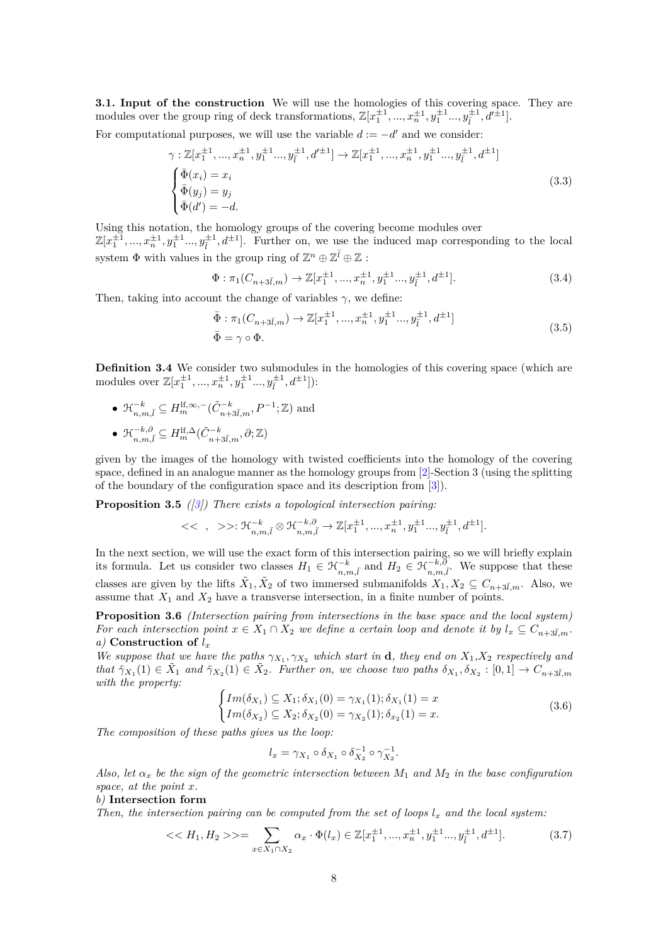**3.1. Input of the construction** We will use the homologies of this covering space. They are modules over the group ring of deck transformations,  $\mathbb{Z}[x_1^{\pm 1}, ..., x_n^{\pm 1}, y_1^{\pm 1} ..., y_{\overline{l}}^{\pm 1}, d'^{\pm 1}]$ .

For computational purposes, we will use the variable  $d := -d'$  and we consider:

$$
\gamma : \mathbb{Z}[x_1^{\pm 1}, \dots, x_n^{\pm 1}, y_1^{\pm 1} \dots, y_i^{\pm 1}, d'^{\pm 1}] \to \mathbb{Z}[x_1^{\pm 1}, \dots, x_n^{\pm 1}, y_1^{\pm 1} \dots, y_i^{\pm 1}, d^{\pm 1}]
$$
  
\n
$$
\begin{cases}\n\bar{\Phi}(x_i) = x_i \\
\bar{\Phi}(y_j) = y_j \\
\bar{\Phi}(d') = -d.\n\end{cases}
$$
\n(3.3)

Using this notation, the homology groups of the covering become modules over  $\mathbb{Z}[x_1^{\pm 1},...,x_n^{\pm 1},y_1^{\pm 1}...,y_i^{\pm 1},d^{\pm 1}]$ . Further on, we use the induced map corresponding to the local system  $\Phi$  with values in the group ring of  $\mathbb{Z}^n \oplus \mathbb{Z}^{\overline{l}} \oplus \mathbb{Z}$ :

$$
\Phi: \pi_1(C_{n+3\bar{l},m}) \to \mathbb{Z}[x_1^{\pm 1}, \dots, x_n^{\pm 1}, y_1^{\pm 1} \dots, y_{\bar{l}}^{\pm 1}, d^{\pm 1}]. \tag{3.4}
$$

Then, taking into account the change of variables  $\gamma$ , we define:

$$
\begin{aligned}\n\bar{\Phi} &:\pi_1(C_{n+3\bar{l},m}) \to \mathbb{Z}[x_1^{\pm 1}, \dots, x_n^{\pm 1}, y_1^{\pm 1} \dots, y_{\bar{l}}^{\pm 1}, d^{\pm 1}] \\
\bar{\Phi} &= \gamma \circ \Phi.\n\end{aligned}\n\tag{3.5}
$$

**Definition 3.4** We consider two submodules in the homologies of this covering space (which are modules over  $\mathbb{Z}[x_1^{\pm 1}, ..., x_n^{\pm 1}, y_1^{\pm 1} ..., y_i^{\pm 1}, d^{\pm 1}]]$ :

\n- \n
$$
\mathcal{H}_{n,m,\overline{l}}^{-k} \subseteq H_m^{\mathrm{lf},\infty,-}(\tilde{C}_{n+3\overline{l},m}^{-k},P^{-1};\mathbb{Z})
$$
 and\n
\n- \n $\mathcal{H}_{n,m,\overline{l}}^{-k,\partial} \subseteq H_m^{\mathrm{lf},\Delta}(\tilde{C}_{n+3\overline{l},m}^{-k},\partial;\mathbb{Z})$ \n
\n

given by the images of the homology with twisted coefficients into the homology of the covering space, defined in an analogue manner as the homology groups from [\[2\]](#page-22-2)-Section 3 (using the splitting of the boundary of the configuration space and its description from [\[3\]](#page-22-3)).

**Proposition 3.5** *([\[3\]](#page-22-3)) There exists a topological intersection pairing:*

$$
<< ~,~ >>: \mathcal{H}_{n,m,\bar{l}}^{-k} \otimes \mathcal{H}_{n,m,\bar{l}}^{-k,\partial} \to \mathbb{Z}[x_1^{\pm 1},...,x_n^{\pm 1},y_1^{\pm 1}...,y_{\bar{l}}^{\pm 1},d^{\pm 1}].
$$

In the next section, we will use the exact form of this intersection pairing, so we will briefly explain its formula. Let us consider two classes  $H_1 \in \mathcal{H}_{n,m,\bar{l}}^{-k}$  and  $H_2 \in \mathcal{H}_{n,m,\bar{l}}^{-k,\partial}$ . We suppose that these classes are given by the lifts  $\tilde{X}_1, \tilde{X}_2$  of two immersed submanifolds  $X_1, X_2 \subseteq C_{n+3\bar{l},m}$ . Also, we assume that  $X_1$  and  $X_2$  have a transverse intersection, in a finite number of points.

<span id="page-7-0"></span>**Proposition 3.6** *(Intersection pairing from intersections in the base space and the local system) For each intersection point*  $x \in X_1 \cap X_2$  *we define a certain loop and denote it by*  $l_x \subseteq C_{n+3\overline{l},m}$ *. a)* **Construction of** *l<sup>x</sup>*

*We suppose that we have the paths*  $\gamma_{X_1}, \gamma_{X_2}$  *which start in* **d***, they end on*  $X_1, X_2$  *respectively and*  $\tilde{\gamma}_{X_1}(1) \in \tilde{X}_1$  and  $\tilde{\gamma}_{X_2}(1) \in \tilde{X}_2$ . Further on, we choose two paths  $\delta_{X_1}, \delta_{X_2} : [0,1] \to C_{n+3\bar{l},m}$ *with the property:*

$$
\begin{cases}\nIm(\delta_{X_1}) \subseteq X_1; \delta_{X_1}(0) = \gamma_{X_1}(1); \delta_{X_1}(1) = x \\
Im(\delta_{X_2}) \subseteq X_2; \delta_{X_2}(0) = \gamma_{X_2}(1); \delta_{x_2}(1) = x.\n\end{cases}
$$
\n(3.6)

*The composition of these paths gives us the loop:*

$$
l_x = \gamma_{X_1} \circ \delta_{X_1} \circ \delta_{X_2}^{-1} \circ \gamma_{X_2}^{-1}.
$$

*Also, let α<sup>x</sup> be the sign of the geometric intersection between M*<sup>1</sup> *and M*<sup>2</sup> *in the base configuration space, at the point x.*

# *b)* **Intersection form**

*Then, the intersection pairing can be computed from the set of loops*  $l_x$  *and the local system:* 

<span id="page-7-1"></span>
$$
\langle \langle H_1, H_2 \rangle \rangle = \sum_{x \in X_1 \cap X_2} \alpha_x \cdot \Phi(l_x) \in \mathbb{Z}[x_1^{\pm 1}, ..., x_n^{\pm 1}, y_1^{\pm 1} ..., y_{\overline{l}}^{\pm 1}, d^{\pm 1}]. \tag{3.7}
$$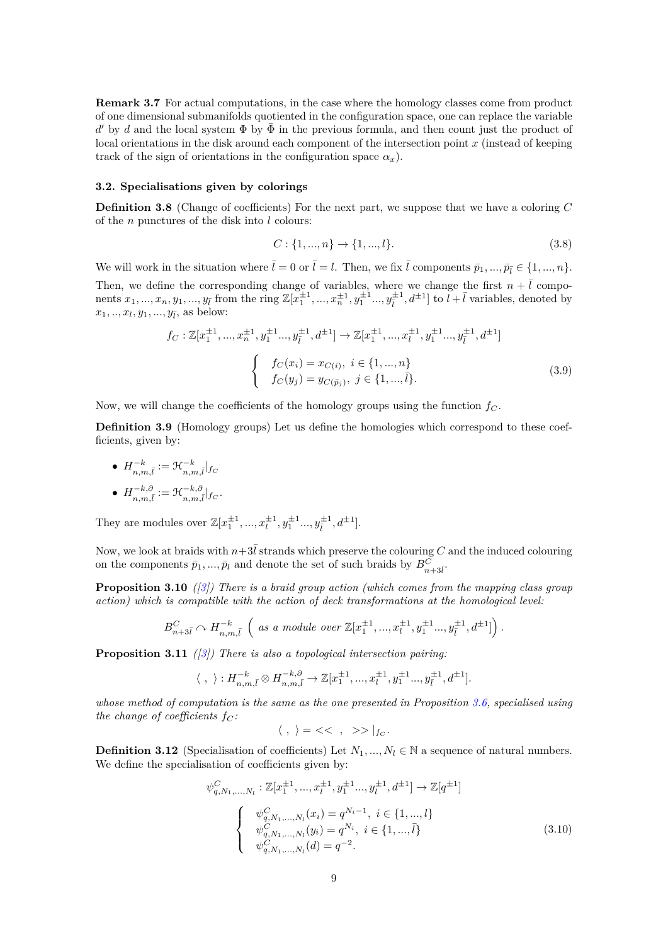<span id="page-8-5"></span>**Remark 3.7** For actual computations, in the case where the homology classes come from product of one dimensional submanifolds quotiented in the configuration space, one can replace the variable  $d'$  by *d* and the local system Φ by  $\bar{\Phi}$  in the previous formula, and then count just the product of local orientations in the disk around each component of the intersection point *x* (instead of keeping track of the sign of orientations in the configuration space  $\alpha_x$ ).

#### **3.2. Specialisations given by colorings**

**Definition 3.8** (Change of coefficients) For the next part, we suppose that we have a coloring *C* of the *n* punctures of the disk into *l* colours:

$$
C: \{1, ..., n\} \to \{1, ..., l\}.
$$
\n(3.8)

We will work in the situation where  $\bar{l} = 0$  or  $\bar{l} = l$ . Then, we fix  $\bar{l}$  components  $\bar{p}_1, ..., \bar{p}_{\bar{l}} \in \{1, ..., n\}$ . Then, we define the corresponding change of variables, where we change the first  $n + \overline{l}$  components  $x_1, ..., x_n, y_1, ..., y_{\bar{l}}$  from the ring  $\mathbb{Z}[x_1^{\pm 1}, ..., x_n^{\pm 1}, y_1^{\pm 1} ..., y_{\bar{l}}^{\pm 1}, d^{\pm 1}]$  to  $l + \bar{l}$  variables, denoted by  $x_1, ..., x_l, y_1, ..., y_{\bar{l}}$ , as below:

<span id="page-8-3"></span>
$$
f_C: \mathbb{Z}[x_1^{\pm 1}, ..., x_n^{\pm 1}, y_1^{\pm 1}..., y_{\overline{l}}^{\pm 1}, d^{\pm 1}] \to \mathbb{Z}[x_1^{\pm 1}, ..., x_i^{\pm 1}, y_1^{\pm 1}..., y_{\overline{l}}^{\pm 1}, d^{\pm 1}]
$$

$$
\begin{cases} f_C(x_i) = x_{C(i)}, \ i \in \{1, ..., n\} \\ f_C(y_j) = y_{C(\overline{p}_j)}, \ j \in \{1, ..., \overline{l}\}.\end{cases}
$$
(3.9)

Now, we will change the coefficients of the homology groups using the function *f<sup>C</sup>* .

<span id="page-8-0"></span>**Definition 3.9** (Homology groups) Let us define the homologies which correspond to these coefficients, given by:

\n- $$
H_{n,m,\bar{l}}^{-k} := \mathcal{H}_{n,m,\bar{l}}^{-k} \vert_{\mathit{f}_{C}}
$$
\n- $H_{n,m,\bar{l}}^{-k,\partial} := \mathcal{H}_{n,m,\bar{l}}^{-k,\partial} \vert_{\mathit{f}_{C}}.$
\n

They are modules over  $\mathbb{Z}[x_1^{\pm 1}, ..., x_l^{\pm 1}, y_1^{\pm 1} ..., y_{\overline{l}}^{\pm 1}, d^{\pm 1}].$ 

Now, we look at braids with  $n+3\bar{l}$  strands which preserve the colouring *C* and the induced colouring on the components  $\bar{p}_1, ..., \bar{p}_l$  and denote the set of such braids by  $B_{n+3\bar{l}}^C$ .

<span id="page-8-1"></span>**Proposition 3.10** *([\[3\]](#page-22-3)) There is a braid group action (which comes from the mapping class group action) which is compatible with the action of deck transformations at the homological level:*

$$
B_{n+3\bar{l}}^{C} \curvearrowright H_{n,m,\bar{l}}^{-k} \left( \text{ as a module over } \mathbb{Z}[x_1^{\pm 1}, ..., x_l^{\pm 1}, y_1^{\pm 1} ..., y_{\bar{l}}^{\pm 1}, d^{\pm 1}] \right).
$$

<span id="page-8-2"></span>**Proposition 3.11** *([\[3\]](#page-22-3)) There is also a topological intersection pairing:*

$$
\langle , \rangle : H^{-k}_{n,m,\bar{l}} \otimes H^{-k,\partial}_{n,m,\bar{l}} \to \mathbb{Z}[x_1^{\pm 1},...,x_l^{\pm 1},y_1^{\pm 1}...,y_l^{\pm 1},d^{\pm 1}].
$$

*whose method of computation is the same as the one presented in Proposition [3.6,](#page-7-0) specialised using the change of coefficients*  $f_C$ :

$$
\langle \ , \ \rangle = \,<<\ , \ \ >> \,|_{f_C}.
$$

**Definition 3.12** (Specialisation of coefficients) Let  $N_1, ..., N_l \in \mathbb{N}$  a sequence of natural numbers. We define the specialisation of coefficients given by:

<span id="page-8-4"></span>
$$
\psi_{q,N_1,\ldots,N_l}^C: \mathbb{Z}[x_1^{\pm 1},...,x_i^{\pm 1},y_1^{\pm 1}...,y_i^{\pm 1},d^{\pm 1}] \to \mathbb{Z}[q^{\pm 1}]
$$
\n
$$
\begin{cases}\n\psi_{q,N_1,\ldots,N_l}^C(x_i) = q^{N_i-1}, \ i \in \{1,...,l\} \\
\psi_{q,N_1,\ldots,N_l}^C(y_i) = q^{N_i}, \ i \in \{1,...,\bar{l}\} \\
\psi_{q,N_1,\ldots,N_l}^C(d) = q^{-2}.\n\end{cases} \tag{3.10}
$$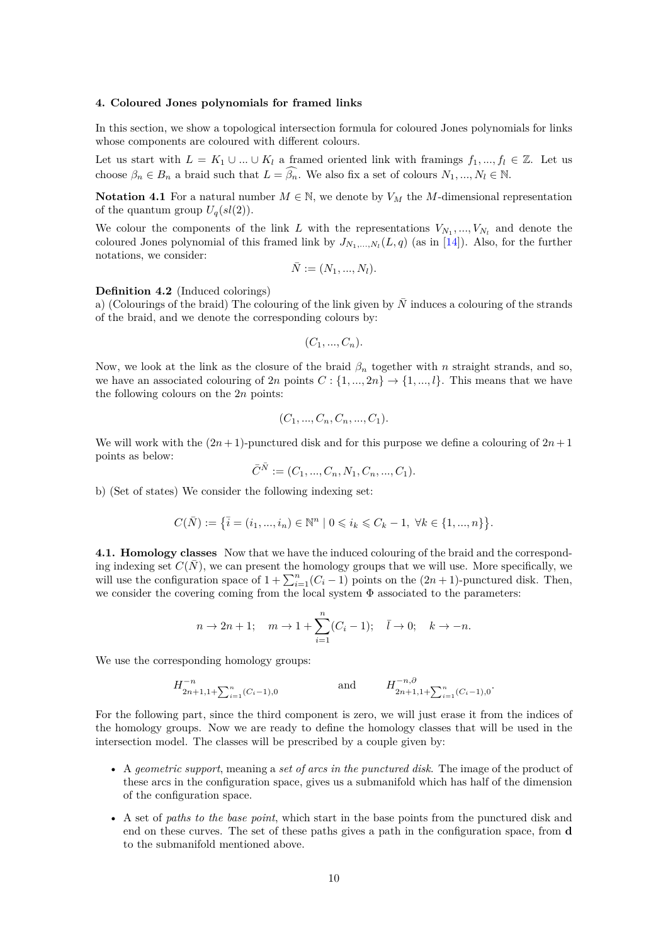### <span id="page-9-0"></span>**4. Coloured Jones polynomials for framed links**

In this section, we show a topological intersection formula for coloured Jones polynomials for links whose components are coloured with different colours.

Let us start with  $L = K_1 \cup ... \cup K_l$  a framed oriented link with framings  $f_1, ..., f_l \in \mathbb{Z}$ . Let us choose  $\beta_n \in B_n$  a braid such that  $L = \widehat{\beta_n}$ . We also fix a set of colours  $N_1, ..., N_l \in \mathbb{N}$ .

**Notation 4.1** For a natural number  $M \in \mathbb{N}$ , we denote by  $V_M$  the *M*-dimensional representation of the quantum group  $U_q(sl(2))$ .

We colour the components of the link *L* with the representations  $V_{N_1},...,V_{N_l}$  and denote the coloured Jones polynomial of this framed link by  $J_{N_1,...,N_l}(L,q)$  (as in [\[14\]](#page-23-7)). Also, for the further notations, we consider:

$$
\bar{N} := (N_1, ..., N_l).
$$

**Definition 4.2** (Induced colorings)

a) (Colourings of the braid) The colouring of the link given by  $\overline{N}$  induces a colouring of the strands of the braid, and we denote the corresponding colours by:

$$
(C_1, \ldots, C_n).
$$

Now, we look at the link as the closure of the braid *β<sup>n</sup>* together with *n* straight strands, and so, we have an associated colouring of 2*n* points  $C: \{1, ..., 2n\} \rightarrow \{1, ..., l\}$ . This means that we have the following colours on the 2*n* points:

$$
(C_1, ..., C_n, C_n, ..., C_1).
$$

We will work with the  $(2n+1)$ -punctured disk and for this purpose we define a colouring of  $2n+1$ points as below:

$$
\bar{C}^{\bar{N}} := (C_1, ..., C_n, N_1, C_n, ..., C_1).
$$

b) (Set of states) We consider the following indexing set:

$$
C(\bar{N}) := \left\{ \bar{i} = (i_1, ..., i_n) \in \mathbb{N}^n \mid 0 \leqslant i_k \leqslant C_k - 1, \ \forall k \in \{1, ..., n\} \right\}.
$$

**4.1. Homology classes** Now that we have the induced colouring of the braid and the corresponding indexing set  $C(\bar{N})$ , we can present the homology groups that we will use. More specifically, we will use the configuration space of  $1 + \sum_{i=1}^{n} (C_i - 1)$  points on the  $(2n + 1)$ -punctured disk. Then, we consider the covering coming from the local system Φ associated to the parameters:

$$
n \to 2n + 1;
$$
  $m \to 1 + \sum_{i=1}^{n} (C_i - 1); \quad \bar{l} \to 0; \quad k \to -n.$ 

We use the corresponding homology groups:

$$
H_{2n+1,1+\sum_{i=1}^{n}(C_i-1),0}^{-n} \quad \text{and} \quad H_{2n+1,1+\sum_{i=1}^{n}(C_i-1),0}^{-n,0}.
$$

For the following part, since the third component is zero, we will just erase it from the indices of the homology groups. Now we are ready to define the homology classes that will be used in the intersection model. The classes will be prescribed by a couple given by:

- A *geometric support*, meaning a *set of arcs in the punctured disk*. The image of the product of these arcs in the configuration space, gives us a submanifold which has half of the dimension of the configuration space.
- A set of *paths to the base point*, which start in the base points from the punctured disk and end on these curves. The set of these paths gives a path in the configuration space, from **d** to the submanifold mentioned above.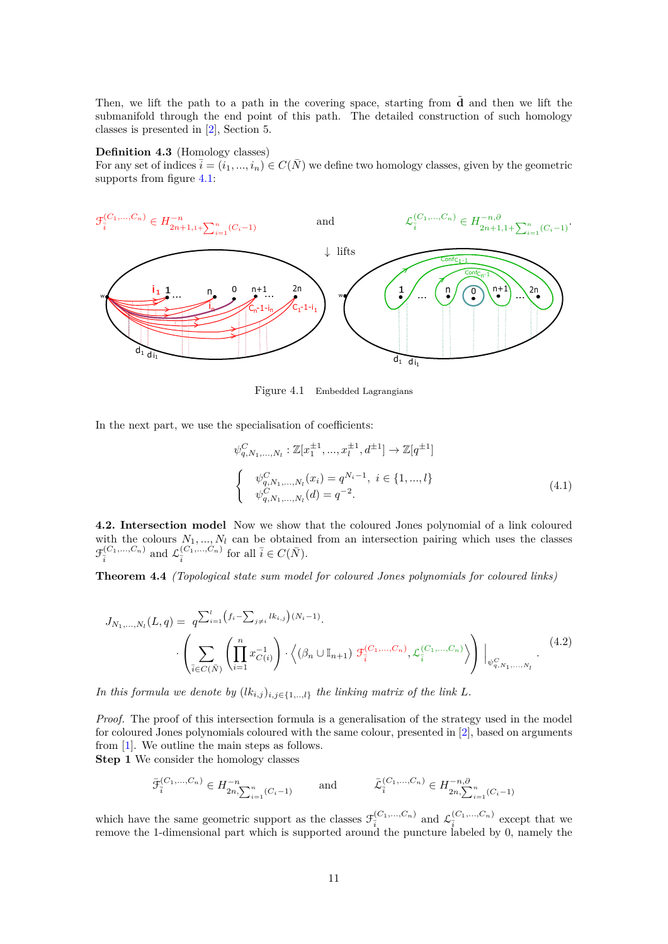Then, we lift the path to a path in the covering space, starting from  $\tilde{d}$  and then we lift the submanifold through the end point of this path. The detailed construction of such homology classes is presented in [\[2\]](#page-22-2), Section 5.

# **Definition 4.3** (Homology classes)

For any set of indices  $\overline{i} = (i_1, ..., i_n) \in C(\overline{N})$  we define two homology classes, given by the geometric supports from figure [4.1:](#page-10-0)

<span id="page-10-0"></span>

Figure 4.1 Embedded Lagrangians

In the next part, we use the specialisation of coefficients:

<span id="page-10-1"></span>
$$
\psi_{q,N_1,\ldots,N_l}^C: \mathbb{Z}[x_1^{\pm 1}, \ldots, x_l^{\pm 1}, d^{\pm 1}] \to \mathbb{Z}[q^{\pm 1}]
$$
\n
$$
\begin{cases}\n\psi_{q,N_1,\ldots,N_l}^C(x_i) = q^{N_i - 1}, \ i \in \{1, \ldots, l\} \\
\psi_{q,N_1,\ldots,N_l}^C(d) = q^{-2}.\n\end{cases} \tag{4.1}
$$

**4.2. Intersection model** Now we show that the coloured Jones polynomial of a link coloured with the colours  $N_1, ..., N_l$  can be obtained from an intersection pairing which uses the classes  $\mathcal{F}_{\bar{i}}^{(C_1,\ldots,C_n)}$  and  $\mathcal{L}_{\bar{i}}^{(C_1,\ldots,C_n)}$  for all  $\bar{i} \in C(\bar{N})$ .

<span id="page-10-2"></span>**Theorem 4.4** *(Topological state sum model for coloured Jones polynomials for coloured links)*

$$
J_{N_1,...,N_l}(L,q) = q^{\sum_{i=1}^l \left(f_i - \sum_{j \neq i} lk_{i,j}\right)(N_i - 1)} \cdot \left\langle \left(\beta_n \cup \mathbb{I}_{n+1}\right) \mathcal{F}_{\bar{i}}^{(C_1,...,C_n)}, \mathcal{L}_{\bar{i}}^{(C_1,...,C_n)} \right\rangle \Bigg|_{\psi_{q,N_1,...,N_l}^C} (4.2)
$$

*In this formula we denote by*  $(lk_{i,j})_{i,j\in\{1,\ldots,l\}}$  *the linking matrix of the link L.* 

*Proof.* The proof of this intersection formula is a generalisation of the strategy used in the model for coloured Jones polynomials coloured with the same colour, presented in [\[2\]](#page-22-2), based on arguments from [\[1\]](#page-22-1). We outline the main steps as follows. **Step 1** We consider the homology classes

$$
\bar{\mathcal{F}}_{\bar{i}}^{(C_1, ..., C_n)} \in H^{-n}_{2n, \sum_{i=1}^n (C_i - 1)} \quad \text{and} \quad \bar{\mathcal{L}}_{\bar{i}}^{(C_1, ..., C_n)} \in H^{-n, \partial}_{2n, \sum_{i=1}^n (C_i - 1)}
$$

which have the same geometric support as the classes  $\mathcal{F}_{\bar{i}}^{(C_1,\ldots,C_n)}$  and  $\mathcal{L}_{\bar{i}}^{(C_1,\ldots,C_n)}$  except that we remove the 1-dimensional part which is supported around the puncture labeled by 0, namely the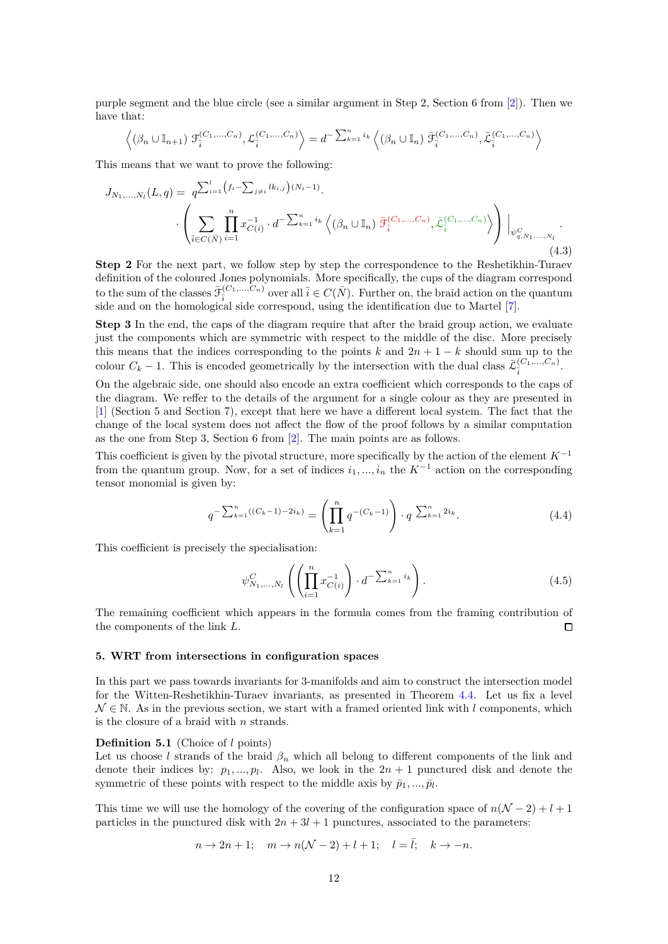purple segment and the blue circle (see a similar argument in Step 2, Section 6 from [\[2\]](#page-22-2)). Then we have that:

$$
\left\langle (\beta_n \cup \mathbb{I}_{n+1}) \mathcal{F}_{\overline{i}}^{(C_1, \ldots, C_n)}, \mathcal{L}_{\overline{i}}^{(C_1, \ldots, C_n)} \right\rangle = d^{-\sum_{k=1}^n i_k} \left\langle (\beta_n \cup \mathbb{I}_n) \bar{\mathcal{F}}_{\overline{i}}^{(C_1, \ldots, C_n)}, \bar{\mathcal{L}}_{\overline{i}}^{(C_1, \ldots, C_n)} \right\rangle
$$

This means that we want to prove the following:

$$
J_{N_1,...,N_l}(L,q) = q^{\sum_{i=1}^l (f_i - \sum_{j \neq i} lk_{i,j})(N_i - 1)} \cdot \left( \sum_{\bar{i} \in C(\bar{N})} \prod_{i=1}^n x_{C(i)}^{-1} \cdot d^{-\sum_{k=1}^n i_k} \left\langle (\beta_n \cup \mathbb{I}_n) \ \bar{\mathcal{F}}_{\bar{i}}^{(C_1,...,C_n)}, \bar{\mathcal{L}}_{\bar{i}}^{(C_1,...,C_n)} \right\rangle \right) \Big|_{\psi_{q,N_1,...,N_l}^C} \tag{4.3}
$$

**Step 2** For the next part, we follow step by step the correspondence to the Reshetikhin-Turaev definition of the coloured Jones polynomials. More specifically, the cups of the diagram correspond to the sum of the classes  $\bar{\mathcal{F}}_{\bar{i}}^{(C_1,\ldots,C_n)}$  over all  $\bar{i} \in C(\bar{N})$ . Further on, the braid action on the quantum side and on the homological side correspond, using the identification due to Martel [\[7\]](#page-23-8).

**Step 3** In the end, the caps of the diagram require that after the braid group action, we evaluate just the components which are symmetric with respect to the middle of the disc. More precisely this means that the indices corresponding to the points  $k$  and  $2n + 1 - k$  should sum up to the colour  $C_k - 1$ . This is encoded geometrically by the intersection with the dual class  $\bar{\mathcal{L}}_{\bar{i}}^{(C_1,\ldots,C_n)}$ .

On the algebraic side, one should also encode an extra coefficient which corresponds to the caps of the diagram. We reffer to the details of the argument for a single colour as they are presented in [\[1\]](#page-22-1) (Section 5 and Section 7), except that here we have a different local system. The fact that the change of the local system does not affect the flow of the proof follows by a similar computation as the one from Step 3, Section 6 from [\[2\]](#page-22-2). The main points are as follows.

This coefficient is given by the pivotal structure, more specifically by the action of the element *K*<sup>−</sup><sup>1</sup> from the quantum group. Now, for a set of indices  $i_1, ..., i_n$  the  $K^{-1}$  action on the corresponding tensor monomial is given by:

$$
q^{-\sum_{k=1}^{n}((C_k-1)-2i_k)} = \left(\prod_{k=1}^{n} q^{-(C_k-1)}\right) \cdot q^{\sum_{k=1}^{n} 2i_k}.
$$
 (4.4)

This coefficient is precisely the specialisation:

$$
\psi_{N_1,...,N_l}^C \left( \left( \prod_{i=1}^n x_{C(i)}^{-1} \right) \cdot d^{-\sum_{k=1}^n i_k} \right). \tag{4.5}
$$

The remaining coefficient which appears in the formula comes from the framing contribution of the components of the link *L*.  $\Box$ 

# <span id="page-11-0"></span>**5. WRT from intersections in configuration spaces**

In this part we pass towards invariants for 3-manifolds and aim to construct the intersection model for the Witten-Reshetikhin-Turaev invariants, as presented in Theorem [4.4.](#page-10-2) Let us fix a level  $\mathcal{N} \in \mathbb{N}$ . As in the previous section, we start with a framed oriented link with *l* components, which is the closure of a braid with *n* strands.

#### **Definition 5.1** (Choice of *l* points)

Let us choose *l* strands of the braid  $\beta_n$  which all belong to different components of the link and denote their indices by:  $p_1, ..., p_l$ . Also, we look in the  $2n + 1$  punctured disk and denote the symmetric of these points with respect to the middle axis by  $\bar{p}_1, \ldots, \bar{p}_l$ .

This time we will use the homology of the covering of the configuration space of  $n(N-2) + l + 1$ particles in the punctured disk with  $2n + 3l + 1$  punctures, associated to the parameters:

$$
n \to 2n + 1; \quad m \to n(\mathcal{N} - 2) + l + 1; \quad l = \bar{l}; \quad k \to -n.
$$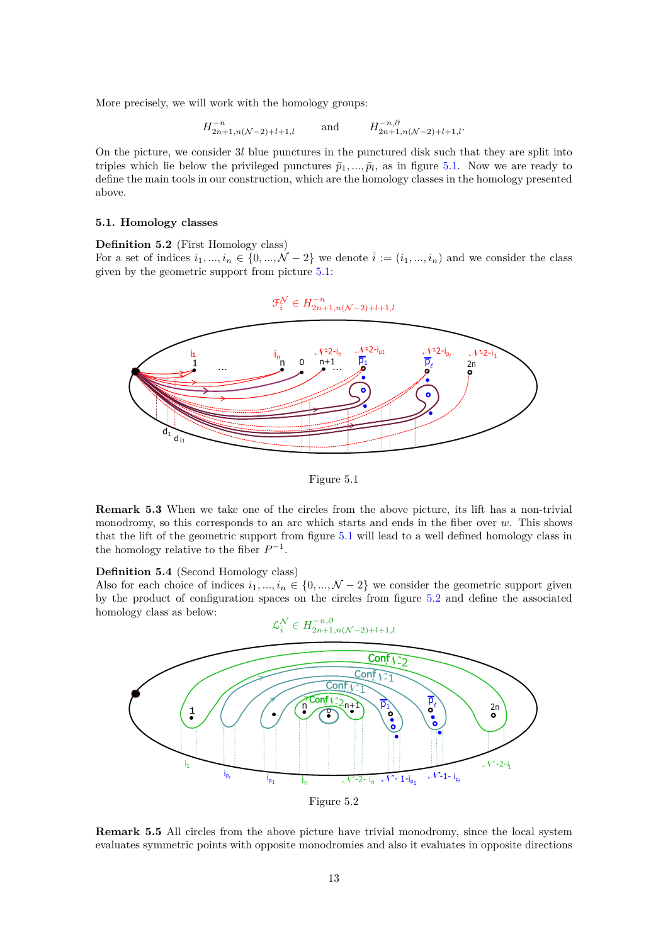More precisely, we will work with the homology groups:

$$
H_{2n+1,n(\mathcal{N}-2)+l+1,l}^{-n} \qquad \text{and} \qquad H_{2n+1,n(\mathcal{N}-2)+l+1,l}^{-n,\partial}.
$$

On the picture, we consider 3*l* blue punctures in the punctured disk such that they are split into triples which lie below the privileged punctures  $\bar{p}_1, ..., \bar{p}_l$ , as in figure [5.1.](#page-12-2) Now we are ready to define the main tools in our construction, which are the homology classes in the homology presented above.

#### **5.1. Homology classes**

<span id="page-12-0"></span>**Definition 5.2** (First Homology class)

For a set of indices  $i_1, ..., i_n \in \{0, ..., \mathcal{N} - 2\}$  we denote  $\overline{i} := (i_1, ..., i_n)$  and we consider the class given by the geometric support from picture [5.1:](#page-12-2)

<span id="page-12-2"></span>

Figure 5.1

**Remark 5.3** When we take one of the circles from the above picture, its lift has a non-trivial monodromy, so this corresponds to an arc which starts and ends in the fiber over *w*. This shows that the lift of the geometric support from figure [5.1](#page-12-2) will lead to a well defined homology class in the homology relative to the fiber  $P^{-1}$ .

# <span id="page-12-1"></span>**Definition 5.4** (Second Homology class)

Also for each choice of indices  $i_1, ..., i_n \in \{0, ..., \mathcal{N} - 2\}$  we consider the geometric support given by the product of configuration spaces on the circles from figure [5.2](#page-12-3) and define the associated homology class as below:

<span id="page-12-3"></span>

Figure 5.2

**Remark 5.5** All circles from the above picture have trivial monodromy, since the local system evaluates symmetric points with opposite monodromies and also it evaluates in opposite directions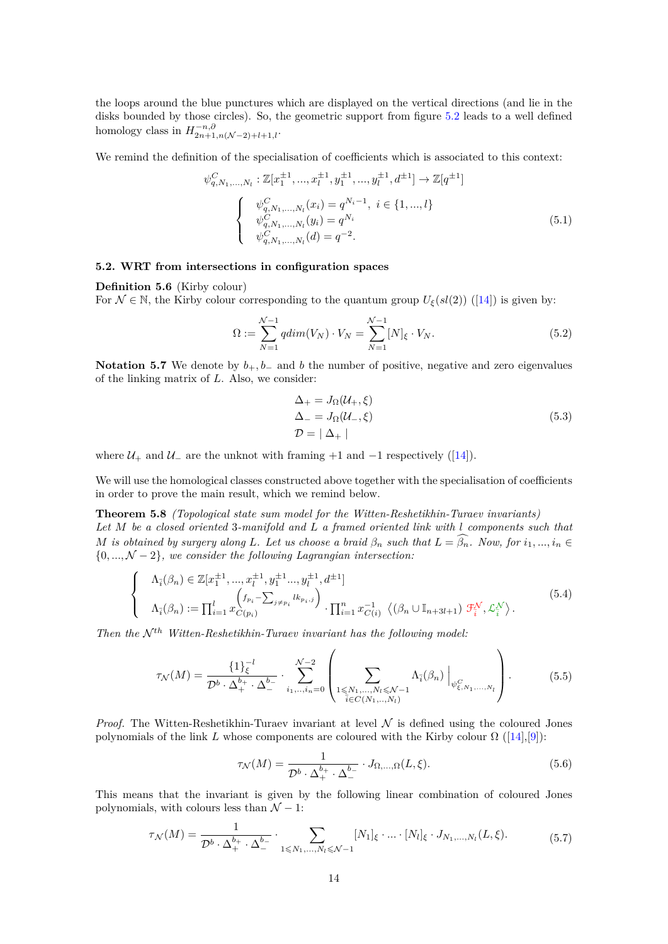the loops around the blue punctures which are displayed on the vertical directions (and lie in the disks bounded by those circles). So, the geometric support from figure [5.2](#page-12-3) leads to a well defined homology class in  $H_{2n+1,n(\mathcal{N}-2)+l+1,l}^{-n,\partial}$ .

We remind the definition of the specialisation of coefficients which is associated to this context:

<span id="page-13-0"></span>
$$
\psi_{q,N_1,\ldots,N_l}^C: \mathbb{Z}[x_1^{\pm 1}, \ldots, x_l^{\pm 1}, y_1^{\pm 1}, \ldots, y_l^{\pm 1}, d^{\pm 1}] \to \mathbb{Z}[q^{\pm 1}]
$$
\n
$$
\begin{cases}\n\psi_{q,N_1,\ldots,N_l}^C(x_i) = q^{N_i - 1}, \ i \in \{1, \ldots, l\} \\
\psi_{q,N_1,\ldots,N_l}^C(y_i) = q^{N_i} \\
\psi_{q,N_1,\ldots,N_l}^C(d) = q^{-2}.\n\end{cases} \tag{5.1}
$$

# **5.2. WRT from intersections in configuration spaces**

**Definition 5.6** (Kirby colour)

For  $\mathcal{N} \in \mathbb{N}$ , the Kirby colour corresponding to the quantum group  $U_{\xi}(sl(2))$  ([\[14\]](#page-23-7)) is given by:

$$
\Omega := \sum_{N=1}^{N-1} qdim(V_N) \cdot V_N = \sum_{N=1}^{N-1} [N]_{\xi} \cdot V_N.
$$
\n(5.2)

**Notation 5.7** We denote by  $b_+, b_-$  and *b* the number of positive, negative and zero eigenvalues of the linking matrix of *L*. Also, we consider:

<span id="page-13-1"></span>
$$
\Delta_{+} = J_{\Omega}(\mathcal{U}_{+}, \xi)
$$
  
\n
$$
\Delta_{-} = J_{\Omega}(\mathcal{U}_{-}, \xi)
$$
  
\n
$$
\mathcal{D} = |\Delta_{+}|
$$
\n(5.3)

where  $U_+$  and  $U_-\$  are the unknot with framing +1 and  $-1$  respectively ([\[14\]](#page-23-7)).

We will use the homological classes constructed above together with the specialisation of coefficients in order to prove the main result, which we remind below.

**Theorem 5.8** *(Topological state sum model for the Witten-Reshetikhin-Turaev invariants) Let M be a closed oriented* 3*-manifold and L a framed oriented link with l components such that M* is obtained by surgery along *L*. Let us choose a braid  $\beta_n$  such that  $L = \widehat{\beta_n}$ . Now, for  $i_1, ..., i_n \in$ {0*, ...,* N − 2}*, we consider the following Lagrangian intersection:*

$$
\begin{cases}\n\Lambda_{\bar{i}}(\beta_n) \in \mathbb{Z}[x_1^{\pm 1}, ..., x_l^{\pm 1}, y_1^{\pm 1} ..., y_l^{\pm 1}, d^{\pm 1}] \\
\Lambda_{\bar{i}}(\beta_n) := \prod_{i=1}^l x_{C(p_i)}^{(f_{p_i} - \sum_{j \neq p_i} lk_{p_i, j}) \cdot \prod_{i=1}^n x_{C(i)}^{-1} \langle (\beta_n \cup \mathbb{I}_{n+3l+1}) \mathcal{F}_i^{\mathcal{N}}, \mathcal{L}_i^{\mathcal{N}} \rangle. \n\end{cases} (5.4)
$$

*Then the*  $N^{th}$  *Witten-Reshetikhin-Turaev invariant has the following model:* 

$$
\tau_{\mathcal{N}}(M) = \frac{\{1\}_{\xi}^{-l}}{\mathcal{D}^{b} \cdot \Delta_{+}^{b_{+}} \cdot \Delta_{-}^{b_{-}}} \cdot \sum_{i_{1},..,i_{n}=0}^{\mathcal{N}-2} \left( \sum_{\substack{1 \leq N_{1},...,N_{l} \leq \mathcal{N}-1 \\ \tilde{i} \in C(N_{1},...,N_{l})}} \Lambda_{\tilde{i}}(\beta_{n}) \Big|_{\psi_{\xi,N_{1},...,N_{l}}^{C}} \right). \tag{5.5}
$$

*Proof.* The Witten-Reshetikhin-Turaev invariant at level  $N$  is defined using the coloured Jones polynomials of the link *L* whose components are coloured with the Kirby colour  $\Omega$  ([\[14\]](#page-23-7),[\[9\]](#page-23-9)):

$$
\tau_{\mathcal{N}}(M) = \frac{1}{\mathcal{D}^b \cdot \Delta_+^{b_+} \cdot \Delta_-^{b_-}} \cdot J_{\Omega, \dots, \Omega}(L, \xi). \tag{5.6}
$$

This means that the invariant is given by the following linear combination of coloured Jones polynomials, with colours less than  $\mathcal{N} - 1$ :

$$
\tau_{\mathcal{N}}(M) = \frac{1}{\mathcal{D}^b \cdot \Delta_+^{b_+} \cdot \Delta_-^{b_-}} \cdot \sum_{1 \leq N_1, \dots, N_l \leq N-1} [N_1]_{\xi} \cdot \dots \cdot [N_l]_{\xi} \cdot J_{N_1, \dots, N_l}(L, \xi). \tag{5.7}
$$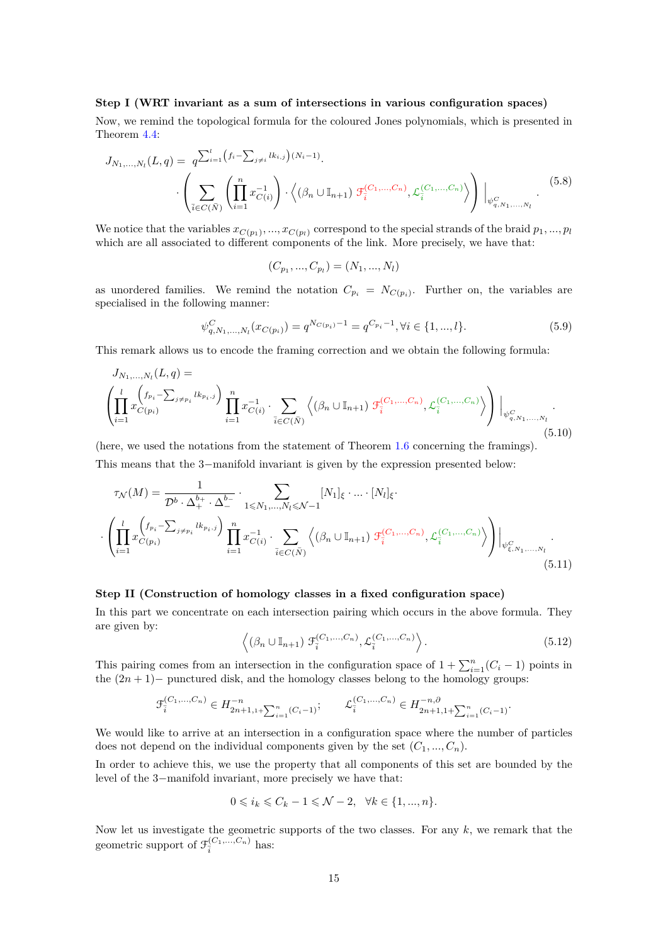# **Step I (WRT invariant as a sum of intersections in various configuration spaces)**

Now, we remind the topological formula for the coloured Jones polynomials, which is presented in Theorem [4.4:](#page-10-2)

$$
J_{N_1,\dots,N_l}(L,q) = q^{\sum_{i=1}^l \left(f_i - \sum_{j \neq i} lk_{i,j}\right)(N_i - 1)} \cdot \left( \sum_{\bar{i} \in C(\bar{N})} \left( \prod_{i=1}^n x_{C(i)}^{-1} \right) \cdot \left\langle \left(\beta_n \cup \mathbb{I}_{n+1}\right) \mathcal{F}_{\bar{i}}^{(C_1,\dots,C_n)}, \mathcal{L}_{\bar{i}}^{(C_1,\dots,C_n)} \right\rangle \right) \Big|_{\psi_{q,N_1,\dots,N_l}^C} (5.8)
$$

We notice that the variables  $x_{C(p_1)},...,x_{C(p_l)}$  correspond to the special strands of the braid  $p_1,...,p_l$ which are all associated to different components of the link. More precisely, we have that:

$$
(C_{p_1},...,C_{p_l})=(N_1,...,N_l)
$$

as unordered families. We remind the notation  $C_{p_i} = N_{C(p_i)}$ . Further on, the variables are specialised in the following manner:

$$
\psi_{q,N_1,\ldots,N_l}^C(x_{C(p_i)}) = q^{N_{C(p_i)}-1} = q^{C_{p_i}-1}, \forall i \in \{1,\ldots,l\}.
$$
\n(5.9)

This remark allows us to encode the framing correction and we obtain the following formula:

$$
J_{N_1,...,N_l}(L,q) = \left( \prod_{i=1}^l x_{C(p_i)}^{(f_{p_i} - \sum_{j \neq p_i} l k_{p_i,j})} \prod_{i=1}^n x_{C(i)}^{-1} \cdot \sum_{\bar{i} \in C(\bar{N})} \left\langle (\beta_n \cup \mathbb{I}_{n+1}) \mathcal{F}_{\bar{i}}^{(C_1,...,C_n)}, \mathcal{L}_{\bar{i}}^{(C_1,...,C_n)} \right\rangle \right) \Big|_{\psi_{q,N_1,...,N_l}^C} \cdot (5.10)
$$

(here, we used the notations from the statement of Theorem [1.6](#page-3-0) concerning the framings). This means that the 3−manifold invariant is given by the expression presented below:

<span id="page-14-0"></span>
$$
\tau_{\mathcal{N}}(M) = \frac{1}{\mathcal{D}^b \cdot \Delta_+^{b_+} \cdot \Delta_-^{b_-}} \cdot \sum_{1 \le N_1, \dots, N_l \le \mathcal{N}-1} [N_1]_{\xi} \cdot \dots \cdot [N_l]_{\xi}.
$$

$$
\cdot \left( \prod_{i=1}^l x_{C(p_i)}^{(f_{p_i} - \sum_{j \ne p_i} l k_{p_i,j})} \prod_{i=1}^n x_{C(i)}^{-1} \cdot \sum_{\bar{i} \in C(\bar{N})} \left\langle (\beta_n \cup \mathbb{I}_{n+1}) \mathcal{F}_{\bar{i}}^{(C_1, \dots, C_n)}, \mathcal{L}_{\bar{i}}^{(C_1, \dots, C_n)} \right\rangle \right) \Big|_{\psi_{\xi, N_1, \dots, N_l}^C}.
$$
(5.11)

#### **Step II (Construction of homology classes in a fixed configuration space)**

In this part we concentrate on each intersection pairing which occurs in the above formula. They are given by:

$$
\left\langle \left(\beta_n \cup \mathbb{I}_{n+1}\right) \mathcal{F}_i^{(C_1, \dots, C_n)}, \mathcal{L}_i^{(C_1, \dots, C_n)} \right\rangle. \tag{5.12}
$$

This pairing comes from an intersection in the configuration space of  $1 + \sum_{i=1}^{n} (C_i - 1)$  points in the (2*n* + 1)− punctured disk, and the homology classes belong to the homology groups:

$$
\mathcal{F}_{\overline{i}}^{(C_1,\ldots,C_n)} \in H_{2n+1,1+\sum_{i=1}^n (C_i-1)}^{-n}; \qquad \mathcal{L}_{\overline{i}}^{(C_1,\ldots,C_n)} \in H_{2n+1,1+\sum_{i=1}^n (C_i-1)}^{-n,0}.
$$

We would like to arrive at an intersection in a configuration space where the number of particles does not depend on the individual components given by the set  $(C_1, ..., C_n)$ .

In order to achieve this, we use the property that all components of this set are bounded by the level of the 3−manifold invariant, more precisely we have that:

$$
0 \leqslant i_k \leqslant C_k - 1 \leqslant \mathcal{N} - 2, \quad \forall k \in \{1, ..., n\}.
$$

Now let us investigate the geometric supports of the two classes. For any *k*, we remark that the geometric support of  $\mathcal{F}_{\bar{i}}^{(C_1,...,C_n)}$  has: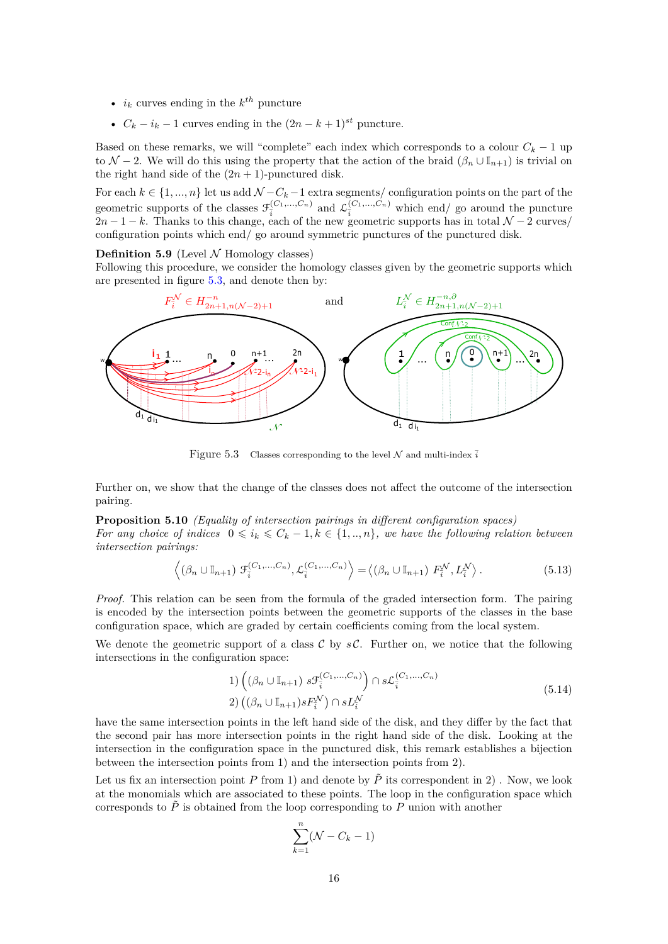- $i_k$  curves ending in the  $k^{th}$  puncture
- $C_k i_k 1$  curves ending in the  $(2n k + 1)^{st}$  puncture.

Based on these remarks, we will "complete" each index which corresponds to a colour  $C_k - 1$  up to  $\mathcal{N}$  − 2. We will do this using the property that the action of the braid  $(\beta_n \cup \mathbb{I}_{n+1})$  is trivial on the right hand side of the  $(2n + 1)$ -punctured disk.

For each  $k \in \{1, ..., n\}$  let us add  $\mathcal{N} - C_k - 1$  extra segments/ configuration points on the part of the geometric supports of the classes  $\mathcal{F}_{\bar{i}}^{(C_1,\ldots,C_n)}$  and  $\mathcal{L}_{\bar{i}}^{(C_1,\ldots,C_n)}$  which end/ go around the puncture  $2n-1-k$ . Thanks to this change, each of the new geometric supports has in total  $\mathcal{N}-2$  curves/ configuration points which end/ go around symmetric punctures of the punctured disk.

# **Definition 5.9** (Level  $\mathcal N$  Homology classes)

Following this procedure, we consider the homology classes given by the geometric supports which are presented in figure [5.3,](#page-15-0) and denote then by:

<span id="page-15-0"></span>

Figure 5.3 Classes corresponding to the level  $N$  and multi-index  $\overline{i}$ 

Further on, we show that the change of the classes does not affect the outcome of the intersection pairing.

<span id="page-15-1"></span>**Proposition 5.10** *(Equality of intersection pairings in different configuration spaces)*

*For any choice of indices*  $0 \leq i_k \leq C_k - 1, k \in \{1, ..., n\}$ *, we have the following relation between intersection pairings:*

$$
\left\langle (\beta_n \cup \mathbb{I}_{n+1}) \mathcal{F}_i^{(C_1, \dots, C_n)}, \mathcal{L}_i^{(C_1, \dots, C_n)} \right\rangle = \left\langle (\beta_n \cup \mathbb{I}_{n+1}) F_i^{\mathcal{N}}, L_i^{\mathcal{N}} \right\rangle. \tag{5.13}
$$

*Proof.* This relation can be seen from the formula of the graded intersection form. The pairing is encoded by the intersection points between the geometric supports of the classes in the base configuration space, which are graded by certain coefficients coming from the local system.

We denote the geometric support of a class  $C$  by  $sC$ . Further on, we notice that the following intersections in the configuration space:

1) 
$$
\left( (\beta_n \cup \mathbb{I}_{n+1}) s \mathcal{F}_i^{(C_1, \dots, C_n)} \right) \cap s \mathcal{L}_i^{(C_1, \dots, C_n)}
$$
  
2) 
$$
((\beta_n \cup \mathbb{I}_{n+1}) s F_i^{\mathcal{N}}) \cap s L_i^{\mathcal{N}}
$$
 (5.14)

have the same intersection points in the left hand side of the disk, and they differ by the fact that the second pair has more intersection points in the right hand side of the disk. Looking at the intersection in the configuration space in the punctured disk, this remark establishes a bijection between the intersection points from 1) and the intersection points from 2).

Let us fix an intersection point *P* from 1) and denote by  $\tilde{P}$  its correspondent in 2). Now, we look at the monomials which are associated to these points. The loop in the configuration space which corresponds to  $\tilde{P}$  is obtained from the loop corresponding to  $P$  union with another

$$
\sum_{k=1}^{n}(\mathcal{N}-C_k-1)
$$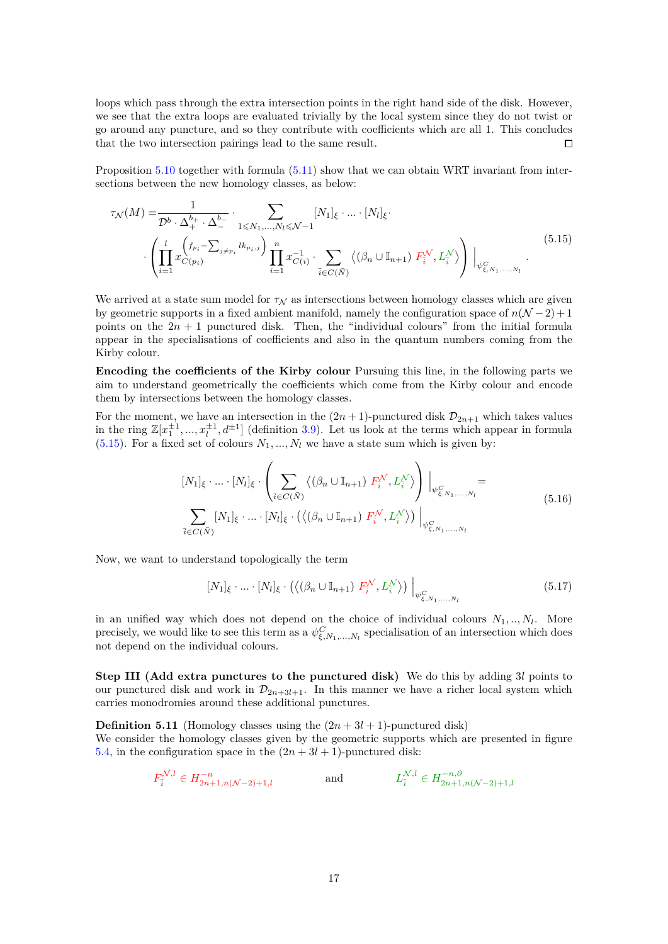loops which pass through the extra intersection points in the right hand side of the disk. However, we see that the extra loops are evaluated trivially by the local system since they do not twist or go around any puncture, and so they contribute with coefficients which are all 1. This concludes that the two intersection pairings lead to the same result.  $\Box$ 

Proposition [5.10](#page-15-1) together with formula  $(5.11)$  show that we can obtain WRT invariant from intersections between the new homology classes, as below:

<span id="page-16-0"></span>
$$
\tau_{\mathcal{N}}(M) = \frac{1}{\mathcal{D}^b \cdot \Delta_+^{b_+} \cdot \Delta_-^{b_-}} \cdot \sum_{1 \leq N_1, \dots, N_l \leq \mathcal{N}-1} [N_1]_{\xi} \cdot \dots \cdot [N_l]_{\xi}.
$$
\n
$$
\left( \prod_{i=1}^l x_{C(p_i)}^{\left(f_{p_i} - \sum_{j \neq p_i} l k_{p_i, j}\right)} \prod_{i=1}^n x_{C(i)}^{-1} \cdot \sum_{\bar{i} \in C(\bar{N})} \left\langle \left(\beta_n \cup \mathbb{I}_{n+1}\right) F_{\bar{i}}^{\mathcal{N}}, L_{\bar{i}}^{\mathcal{N}} \right\rangle \right) \Big|_{\psi_{\xi, N_1, \dots, N_l}^C} .
$$
\n
$$
(5.15)
$$

We arrived at a state sum model for  $\tau_N$  as intersections between homology classes which are given by geometric supports in a fixed ambient manifold, namely the configuration space of  $n(\mathcal{N} - 2) + 1$ points on the  $2n + 1$  punctured disk. Then, the "individual colours" from the initial formula appear in the specialisations of coefficients and also in the quantum numbers coming from the Kirby colour.

**Encoding the coefficients of the Kirby colour** Pursuing this line, in the following parts we aim to understand geometrically the coefficients which come from the Kirby colour and encode them by intersections between the homology classes.

For the moment, we have an intersection in the  $(2n+1)$ -punctured disk  $\mathcal{D}_{2n+1}$  which takes values in the ring  $\mathbb{Z}[x_1^{\pm 1},...,x_l^{\pm 1},d^{\pm 1}]$  (definition [3.9\)](#page-8-0). Let us look at the terms which appear in formula  $(5.15)$ . For a fixed set of colours  $N_1, ..., N_l$  we have a state sum which is given by:

$$
[N_1]_{\xi} \cdot \dots \cdot [N_l]_{\xi} \cdot \left( \sum_{\bar{i} \in C(\bar{N})} \left\langle (\beta_n \cup \mathbb{I}_{n+1}) F^{\mathcal{N}}_{\bar{i}}, L^{\mathcal{N}}_{\bar{i}} \right\rangle \right) \Big|_{\psi_{\xi, N_1, \dots, N_l}^C} =
$$
  

$$
\sum_{\bar{i} \in C(\bar{N})} [N_1]_{\xi} \cdot \dots \cdot [N_l]_{\xi} \cdot \left( \left\langle (\beta_n \cup \mathbb{I}_{n+1}) F^{\mathcal{N}}_{\bar{i}}, L^{\mathcal{N}}_{\bar{i}} \right\rangle \right) \Big|_{\psi_{\xi, N_1, \dots, N_l}^C}
$$
(5.16)

Now, we want to understand topologically the term

$$
[N_1]_{\xi} \cdot \ldots \cdot [N_l]_{\xi} \cdot \left( \left\langle (\beta_n \cup \mathbb{I}_{n+1}) F_{\overline{i}}^{\mathcal{N}}, L_{\overline{i}}^{\mathcal{N}} \right\rangle \right) \Big|_{\psi_{\xi, N_1, \ldots, N_l}^C}
$$
(5.17)

in an unified way which does not depend on the choice of individual colours  $N_1, ..., N_l$ . More precisely, we would like to see this term as a  $\psi^C_{\xi,N_1,\dots,N_l}$  specialisation of an intersection which does not depend on the individual colours.

**Step III (Add extra punctures to the punctured disk)** We do this by adding 3*l* points to our punctured disk and work in  $\mathcal{D}_{2n+3l+1}$ . In this manner we have a richer local system which carries monodromies around these additional punctures.

**Definition 5.11** (Homology classes using the  $(2n + 3l + 1)$ -punctured disk) We consider the homology classes given by the geometric supports which are presented in figure [5.4,](#page-17-0) in the configuration space in the  $(2n + 3l + 1)$ -punctured disk:

$$
F_{\bar{i}}^{\mathcal{N},l} \in H_{2n+1,n(\mathcal{N}-2)+1,l}^{-n} \qquad \text{and} \qquad L_{\bar{i}}^{\mathcal{N},l} \in H_{2n+1,n(\mathcal{N}-2)+1,l}^{-n,\partial}
$$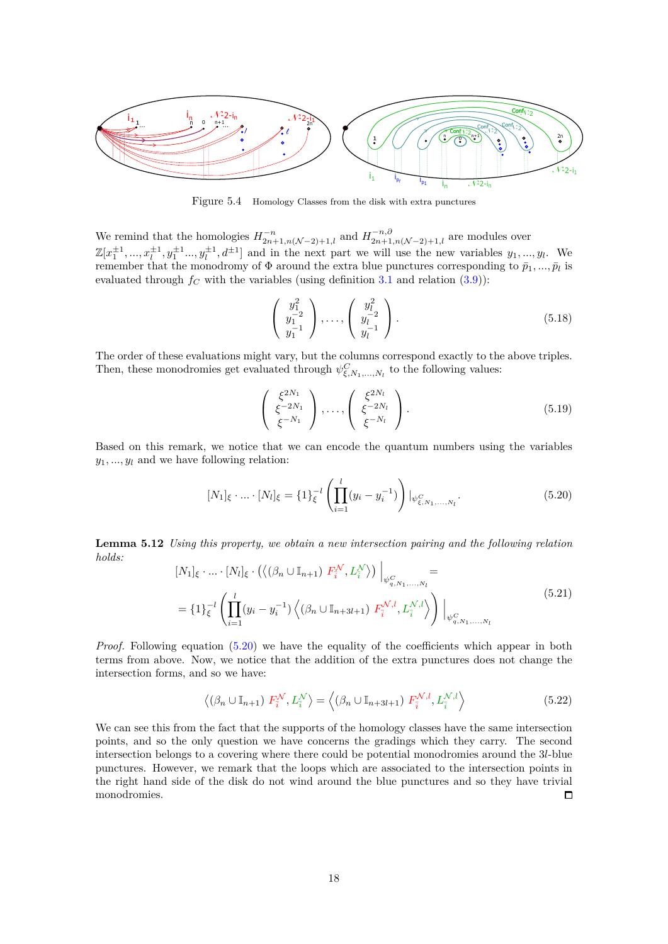<span id="page-17-0"></span>

Figure 5.4 Homology Classes from the disk with extra punctures

We remind that the homologies  $H^{-n}_{2n+1,n(\mathcal{N}-2)+1,l}$  and  $H^{-n,\partial}_{2n+1,n(\mathcal{N}-2)+1,l}$  are modules over  $\mathbb{Z}[x_1^{\pm 1}, ..., x_l^{\pm 1}, y_1^{\pm 1} ..., y_l^{\pm 1}, d^{\pm 1}]$  and in the next part we will use the new variables  $y_1, ..., y_l$ . We remember that the monodromy of  $\Phi$  around the extra blue punctures corresponding to  $\bar{p}_1, ..., \bar{p}_l$  is evaluated through  $f_C$  with the variables (using definition [3.1](#page-6-1) and relation [\(3.9\)](#page-8-3)):

$$
\begin{pmatrix} y_1^2 \\ y_1^{-2} \\ y_1^{-1} \end{pmatrix}, \dots, \begin{pmatrix} y_l^2 \\ y_l^{-2} \\ y_l^{-1} \end{pmatrix}.
$$
 (5.18)

The order of these evaluations might vary, but the columns correspond exactly to the above triples. Then, these monodromies get evaluated through  $\psi^C_{\xi, N_1, \dots, N_l}$  to the following values:

$$
\begin{pmatrix} \xi^{2N_1} \\ \xi^{-2N_1} \\ \xi^{-N_1} \end{pmatrix}, \dots, \begin{pmatrix} \xi^{2N_l} \\ \xi^{-2N_l} \\ \xi^{-N_l} \end{pmatrix}.
$$
 (5.19)

Based on this remark, we notice that we can encode the quantum numbers using the variables  $y_1, \ldots, y_l$  and we have following relation:

<span id="page-17-1"></span>
$$
[N_1]_{\xi} \cdot \ldots \cdot [N_l]_{\xi} = \{1\}_{\xi}^{-l} \left( \prod_{i=1}^l (y_i - y_i^{-1}) \right) |_{\psi_{\xi, N_1, \ldots, N_l}^C}.
$$
 (5.20)

**Lemma 5.12** *Using this property, we obtain a new intersection pairing and the following relation holds:*

<span id="page-17-2"></span>
$$
[N_1]_{\xi} \cdot ... \cdot [N_l]_{\xi} \cdot (\langle (\beta_n \cup \mathbb{I}_{n+1}) F_i^{\mathcal{N}}, L_i^{\mathcal{N}} \rangle) \Big|_{\psi_{q, N_1, ..., N_l}^C} =
$$
  
=  $\{1\}_{\xi}^{-l} \left( \prod_{i=1}^l (y_i - y_i^{-1}) \langle (\beta_n \cup \mathbb{I}_{n+3l+1}) F_i^{\mathcal{N}, l}, L_i^{\mathcal{N}, l} \rangle \right) \Big|_{\psi_{q, N_1, ..., N_l}^C}$  (5.21)

*Proof.* Following equation [\(5.20\)](#page-17-1) we have the equality of the coefficients which appear in both terms from above. Now, we notice that the addition of the extra punctures does not change the intersection forms, and so we have:

$$
\left\langle \left(\beta_n \cup \mathbb{I}_{n+1}\right) F_i^{\mathcal{N}}, L_i^{\mathcal{N}} \right\rangle = \left\langle \left(\beta_n \cup \mathbb{I}_{n+3l+1}\right) F_i^{\mathcal{N},l}, L_i^{\mathcal{N},l} \right\rangle \tag{5.22}
$$

We can see this from the fact that the supports of the homology classes have the same intersection points, and so the only question we have concerns the gradings which they carry. The second intersection belongs to a covering where there could be potential monodromies around the 3*l*-blue punctures. However, we remark that the loops which are associated to the intersection points in the right hand side of the disk do not wind around the blue punctures and so they have trivial monodromies.  $\Box$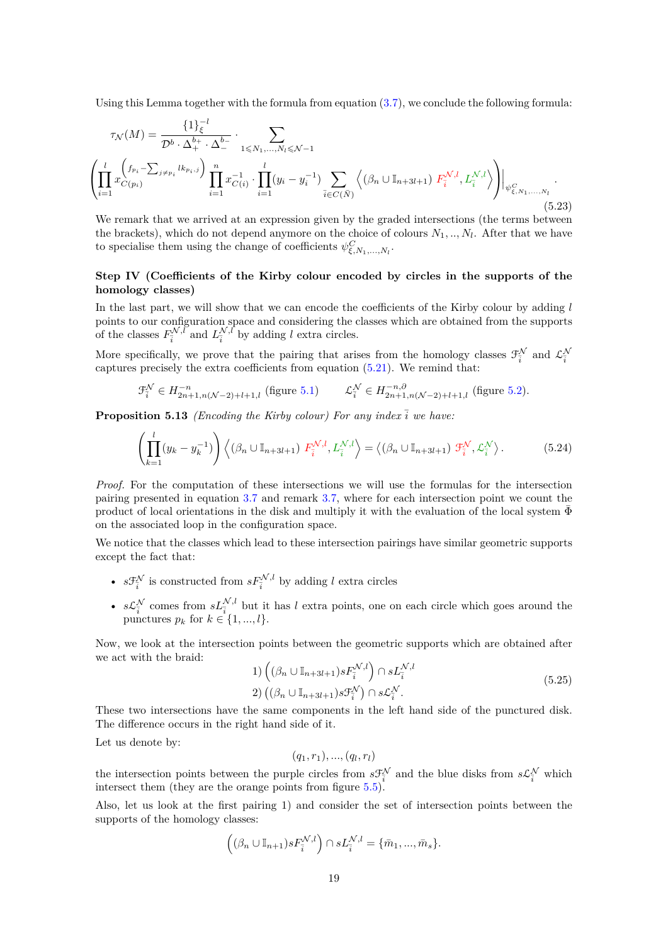Using this Lemma together with the formula from equation  $(3.7)$ , we conclude the following formula:

<span id="page-18-1"></span>
$$
\tau_{\mathcal{N}}(M) = \frac{\{1\}_{\xi}^{-l}}{\mathcal{D}^{b} \cdot \Delta_{+}^{b_{+}} \cdot \Delta_{-}^{b_{-}}} \cdot \sum_{1 \leq N_{1}, \dots, N_{l} \leq N-1} \left( \prod_{i=1}^{l} x_{C(p_{i})}^{(f_{p_{i}} - \sum_{j \neq p_{i}} lk_{p_{i}, j}) \prod_{i=1}^{n} x_{C(i)}^{-1} \cdot \prod_{i=1}^{l} (y_{i} - y_{i}^{-1}) \sum_{\bar{i} \in C(\bar{N})} \left\langle (\beta_{n} \cup \mathbb{I}_{n+3l+1}) F_{\bar{i}}^{N,l}, L_{\bar{i}}^{N,l} \right\rangle \right) \Big|_{\psi_{\xi, N_{1}, \dots, N_{l}}} \tag{5.23}
$$

We remark that we arrived at an expression given by the graded intersections (the terms between the brackets), which do not depend anymore on the choice of colours  $N_1, ..., N_l$ . After that we have to specialise them using the change of coefficients  $\psi^C_{\xi, N_1, \dots, N_l}$ .

# **Step IV (Coefficients of the Kirby colour encoded by circles in the supports of the homology classes)**

In the last part, we will show that we can encode the coefficients of the Kirby colour by adding *l* points to our configuration space and considering the classes which are obtained from the supports of the classes  $F_{\bar{i}}^{\mathcal{N},\bar{l}}$  and  $L_{\bar{i}}^{\mathcal{N},\bar{l}}$  by adding *l* extra circles.

More specifically, we prove that the pairing that arises from the homology classes  $\mathcal{F}^{\mathcal{N}}_{\bar{i}}$  and  $\mathcal{L}^{\mathcal{N}}_{\bar{i}}$ captures precisely the extra coefficients from equation [\(5.21\)](#page-17-2). We remind that:

$$
\mathcal{F}_i^{\mathcal{N}} \in H_{2n+1,n(\mathcal{N}-2)+l+1,l}^{-n} \text{ (figure 5.1)} \qquad \mathcal{L}_i^{\mathcal{N}} \in H_{2n+1,n(\mathcal{N}-2)+l+1,l}^{-n,\partial} \text{ (figure 5.2)}.
$$

**Proposition 5.13** *(Encoding the Kirby colour) For any index*  $\overline{i}$  *we have:* 

<span id="page-18-0"></span>
$$
\left(\prod_{k=1}^{l} (y_k - y_k^{-1})\right) \left\langle (\beta_n \cup \mathbb{I}_{n+3l+1}) F_{\overline{i}}^{\mathcal{N},l}, L_{\overline{i}}^{\mathcal{N},l} \right\rangle = \left\langle (\beta_n \cup \mathbb{I}_{n+3l+1}) \mathcal{F}_{\overline{i}}^{\mathcal{N}}, \mathcal{L}_{\overline{i}}^{\mathcal{N}} \right\rangle. \tag{5.24}
$$

*Proof.* For the computation of these intersections we will use the formulas for the intersection pairing presented in equation [3.7](#page-7-1) and remark [3.7,](#page-8-5) where for each intersection point we count the product of local orientations in the disk and multiply it with the evaluation of the local system  $\Phi$ on the associated loop in the configuration space.

We notice that the classes which lead to these intersection pairings have similar geometric supports except the fact that:

- $s \mathcal{F}_{\bar{i}}^{\mathcal{N}}$  is constructed from  $s F_{\bar{i}}^{\mathcal{N},l}$  by adding *l* extra circles
- $s\mathcal{L}_{\bar{i}}^{\mathcal{N}}$  comes from  $sL_{\bar{i}}^{\mathcal{N},l}$  but it has *l* extra points, one on each circle which goes around the punctures  $p_k$  for  $k \in \{1, ..., l\}$ .

Now, we look at the intersection points between the geometric supports which are obtained after we act with the braid:

1) 
$$
\left( (\beta_n \cup \mathbb{I}_{n+3l+1}) s F_{\overline{i}}^{\mathcal{N},l} \right) \cap s L_{\overline{i}}^{\mathcal{N},l}
$$
  
2) 
$$
((\beta_n \cup \mathbb{I}_{n+3l+1}) s \mathcal{F}_{\overline{i}}^{\mathcal{N}}) \cap s \mathcal{L}_{\overline{i}}^{\mathcal{N}}.
$$
 (5.25)

These two intersections have the same components in the left hand side of the punctured disk. The difference occurs in the right hand side of it.

Let us denote by:

$$
(q_1, r_1), ..., (q_l, r_l)
$$

the intersection points between the purple circles from  $s \mathcal{F}^{\mathcal{N}}_{\bar{i}}$  and the blue disks from  $s \mathcal{L}^{\mathcal{N}}_{\bar{i}}$  which intersect them (they are the orange points from figure  $5.5$ ).

Also, let us look at the first pairing 1) and consider the set of intersection points between the supports of the homology classes:

$$
((\beta_n \cup \mathbb{I}_{n+1})sF_{\overline{i}}^{\mathcal{N},l}) \cap sL_{\overline{i}}^{\mathcal{N},l} = \{\overline{m}_1, ..., \overline{m}_s\}.
$$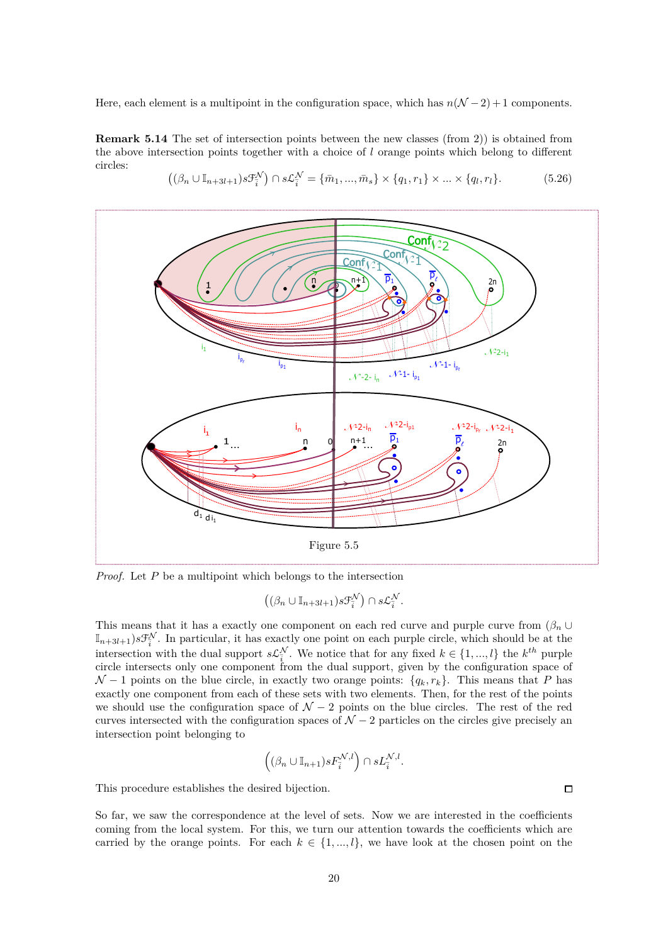Here, each element is a multipoint in the configuration space, which has  $n(\mathcal{N} - 2) + 1$  components.

**Remark 5.14** The set of intersection points between the new classes (from 2)) is obtained from the above intersection points together with a choice of *l* orange points which belong to different circles:

<span id="page-19-0"></span>

<span id="page-19-1"></span>
$$
((\beta_n \cup \mathbb{I}_{n+3l+1})s\mathcal{F}_{\overline{i}}^{\mathcal{N}}) \cap s\mathcal{L}_{\overline{i}}^{\mathcal{N}} = {\overline{m_1, ..., m_s}} \times {q_1, r_1} \times ... \times {q_l, r_l}.
$$
 (5.26)

*Proof.* Let *P* be a multipoint which belongs to the intersection

 $((\beta_n \cup \mathbb{I}_{n+3l+1})s\mathfrak{F}^{\mathcal{N}}_i) \cap s\mathcal{L}^{\mathcal{N}}_i.$ 

This means that it has a exactly one component on each red curve and purple curve from  $(\beta_n \cup$  $\mathbb{I}_{n+3l+1}$ )*s* $\mathcal{F}_{\bar{i}}^{\mathcal{N}}$ . In particular, it has exactly one point on each purple circle, which should be at the intersection with the dual support  $s\mathcal{L}_{\bar{i}}^{\mathcal{N}}$ . We notice that for any fixed  $k \in \{1, ..., l\}$  the  $k^{th}$  purple circle intersects only one component from the dual support, given by the configuration space of  $\mathcal{N} - 1$  points on the blue circle, in exactly two orange points:  $\{q_k, r_k\}$ . This means that *P* has exactly one component from each of these sets with two elements. Then, for the rest of the points we should use the configuration space of  $\mathcal{N} - 2$  points on the blue circles. The rest of the red curves intersected with the configuration spaces of  $\mathcal{N} - 2$  particles on the circles give precisely and intersection point belonging to

$$
\left((\beta_n\cup\mathbb{I}_{n+1})sF_{\overline{i}}^{\mathcal{N},l}\right)\cap sL_{\overline{i}}^{\mathcal{N},l}.
$$

This procedure establishes the desired bijection.

So far, we saw the correspondence at the level of sets. Now we are interested in the coefficients coming from the local system. For this, we turn our attention towards the coefficients which are carried by the orange points. For each  $k \in \{1, ..., l\}$ , we have look at the chosen point on the

 $\Box$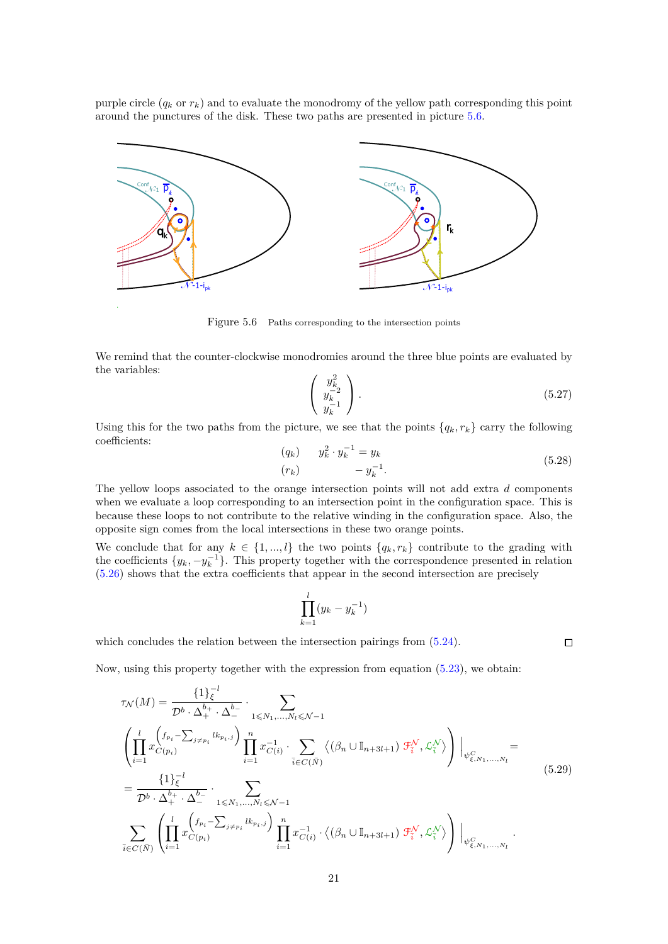purple circle  $(q_k \text{ or } r_k)$  and to evaluate the monodromy of the yellow path corresponding this point around the punctures of the disk. These two paths are presented in picture [5.6.](#page-20-0)

<span id="page-20-0"></span>

Figure 5.6 Paths corresponding to the intersection points

We remind that the counter-clockwise monodromies around the three blue points are evaluated by the variables:

$$
\left(\begin{array}{c} y_k^2\\ y_k^{-2}\\ y_k^{-1} \end{array}\right). \tag{5.27}
$$

 $\Box$ 

Using this for the two paths from the picture, we see that the points  ${q_k, r_k}$  carry the following coefficients:

$$
\begin{array}{ll} (q_k) & y_k^2 \cdot y_k^{-1} = y_k \\ (r_k) & -y_k^{-1} \end{array} \tag{5.28}
$$

The yellow loops associated to the orange intersection points will not add extra *d* components when we evaluate a loop corresponding to an intersection point in the configuration space. This is because these loops to not contribute to the relative winding in the configuration space. Also, the opposite sign comes from the local intersections in these two orange points.

We conclude that for any  $k \in \{1, ..., l\}$  the two points  $\{q_k, r_k\}$  contribute to the grading with the coefficients  $\{y_k, -y_k^{-1}\}$ . This property together with the correspondence presented in relation [\(5.26\)](#page-19-1) shows that the extra coefficients that appear in the second intersection are precisely

$$
\prod_{k=1}^l (y_k - y_k^{-1})
$$

which concludes the relation between the intersection pairings from  $(5.24)$ .

Now, using this property together with the expression from equation [\(5.23\)](#page-18-1), we obtain:

$$
\tau_{\mathcal{N}}(M) = \frac{\{1\}_{\xi}^{-l}}{\mathcal{D}^{b} \cdot \Delta_{+}^{b_{+}} \cdot \Delta_{-}^{b_{-}}} \cdot \sum_{1 \leq N_{1},...,N_{l} \leq N-1} \left( \prod_{i=1}^{l} x_{C(p_{i})}^{\left(f_{p_{i}} - \sum_{j \neq p_{i}} l k_{p_{i},j}\right)} \prod_{i=1}^{n} x_{C(i)}^{-1} \cdot \sum_{\bar{i} \in C(\bar{N})} \left\langle (\beta_{n} \cup \mathbb{I}_{n+3l+1}) \mathcal{F}_{\bar{i}}^{\mathcal{N}}, \mathcal{L}_{\bar{i}}^{\mathcal{N}} \right\rangle \right) \Big|_{\psi_{\xi, N_{1},...,N_{l}}^{C}} = \frac{\{1\}_{\xi}^{-l}}{\mathcal{D}^{b} \cdot \Delta_{+}^{b_{+}} \cdot \Delta_{-}^{b_{-}}} \cdot \sum_{1 \leq N_{1},...,N_{l} \leq N-1} \left( \sum_{i=1}^{l} x_{C(p_{i})}^{\left(f_{p_{i}} - \sum_{j \neq p_{i}} l k_{p_{i},j}\right)} \prod_{i=1}^{n} x_{C(i)}^{-1} \cdot \left\langle (\beta_{n} \cup \mathbb{I}_{n+3l+1}) \mathcal{F}_{\bar{i}}^{\mathcal{N}}, \mathcal{L}_{\bar{i}}^{\mathcal{N}} \right\rangle \right) \Big|_{\psi_{\xi, N_{1},...,N_{l}}^{C}}.
$$
\n(5.29)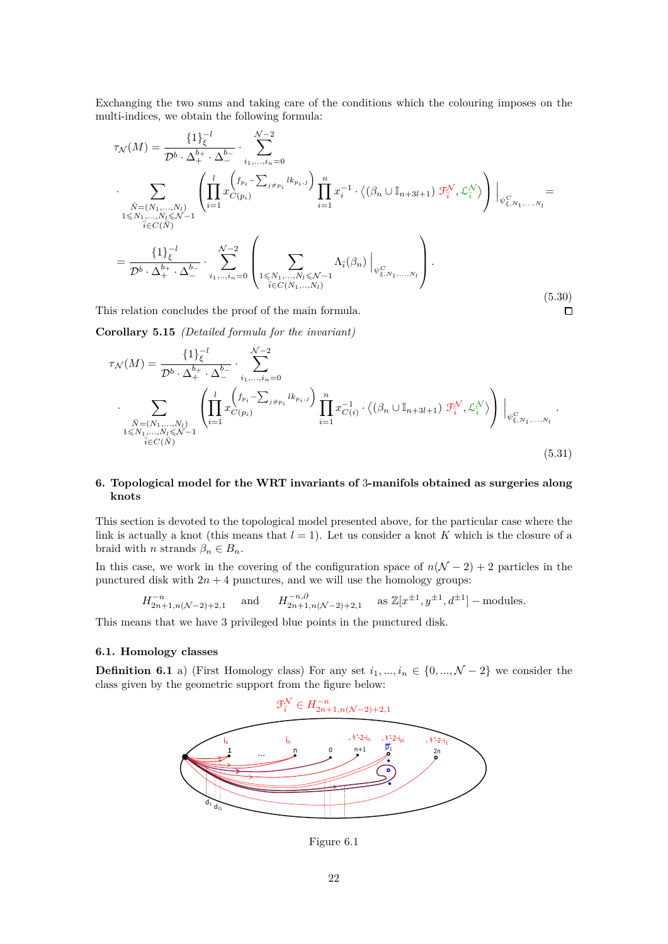Exchanging the two sums and taking care of the conditions which the colouring imposes on the multi-indices, we obtain the following formula:

$$
\tau_{\mathcal{N}}(M) = \frac{\{1\}_{\xi}^{-l}}{\mathcal{D}^{b} \cdot \Delta_{+}^{b_{+}} \cdot \Delta_{-}^{b_{-}}} \cdot \sum_{i_{1},...,i_{n}=0}^{\mathcal{N}-2}
$$
\n
$$
\cdot \sum_{\substack{\bar{N}=(N_{1},...,N_{l})\\1\leqslant N_{1},...,N_{l}\leqslant\mathcal{N}-1}} \left(\prod_{i=1}^{l} x_{C(p_{i})}^{\left(p_{i}-\sum_{j\neq p_{i}}lk_{p_{i},j}\right)} \prod_{i=1}^{n} x_{i}^{-1} \cdot \left\langle(\beta_{n} \cup \mathbb{I}_{n+3l+1}) \mathcal{F}_{i}^{\mathcal{N}}, \mathcal{L}_{i}^{\mathcal{N}}\right\rangle\right)\Big|_{\psi_{\xi,N_{1},...,N_{l}}^{C}} = \frac{\{1\}_{\xi}^{-l}}{\mathcal{D}^{b} \cdot \Delta_{+}^{b_{+}} \cdot \Delta_{-}^{b_{-}}} \cdot \sum_{i_{1},...,i_{n}=0}^{\mathcal{N}-2} \left(\sum_{\substack{1\leqslant N_{1},...,N_{l}\leqslant\mathcal{N}-1\\i\in C(N_{1},...,N_{l})}} \Lambda_{\bar{i}}(\beta_{n}) \Big|_{\psi_{\xi,N_{1},...,N_{l}}^{C}}\right).
$$
\n(5.30)

This relation concludes the proof of the main formula.

**Corollary 5.15** *(Detailed formula for the invariant)*

$$
\tau_{\mathcal{N}}(M) = \frac{\{1\}_{\xi}^{-l}}{\mathcal{D}^{b} \cdot \Delta_{+}^{b_{+}} \cdot \Delta_{-}^{b_{-}}} \cdot \sum_{i_{1},...,i_{n}=0}^{\mathcal{N}-2}
$$
\n
$$
\cdot \sum_{\substack{\bar{N}=(N_{1},...,N_{l})\\1\leqslant N_{1},...,N_{l} \leqslant \mathcal{N}-1}} \left( \prod_{i=1}^{l} x_{C(p_{i})}^{\left(f_{p_{i}} - \sum_{j\neq p_{i}} l k_{p_{i},j}\right)} \prod_{i=1}^{n} x_{C(i)}^{-1} \cdot \left\langle \left(\beta_{n} \cup \mathbb{I}_{n+3l+1}\right) \mathcal{F}_{i}^{\mathcal{N}}, \mathcal{L}_{i}^{\mathcal{N}} \right\rangle \right) \Big|_{\psi_{\xi,N_{1},...,N_{l}}^{C}}.
$$
\n(5.31)

 $\Box$ 

# <span id="page-21-0"></span>**6. Topological model for the WRT invariants of** 3**-manifols obtained as surgeries along knots**

This section is devoted to the topological model presented above, for the particular case where the link is actually a knot (this means that  $l = 1$ ). Let us consider a knot K which is the closure of a braid with *n* strands  $\beta_n \in B_n$ .

In this case, we work in the covering of the configuration space of  $n(\mathcal{N} - 2) + 2$  particles in the punctured disk with  $2n + 4$  punctures, and we will use the homology groups:

$$
H_{2n+1,n(\mathcal{N}-2)+2,1}^{-n} \quad \text{and} \quad H_{2n+1,n(\mathcal{N}-2)+2,1}^{-n,\partial} \quad \text{as } \mathbb{Z}[x^{\pm 1}, y^{\pm 1}, d^{\pm 1}] - \text{modules.}
$$

This means that we have 3 privileged blue points in the punctured disk.

# **6.1. Homology classes**

**Definition 6.1** a) (First Homology class) For any set  $i_1, ..., i_n \in \{0, ..., \mathcal{N} - 2\}$  we consider the class given by the geometric support from the figure below:



Figure 6.1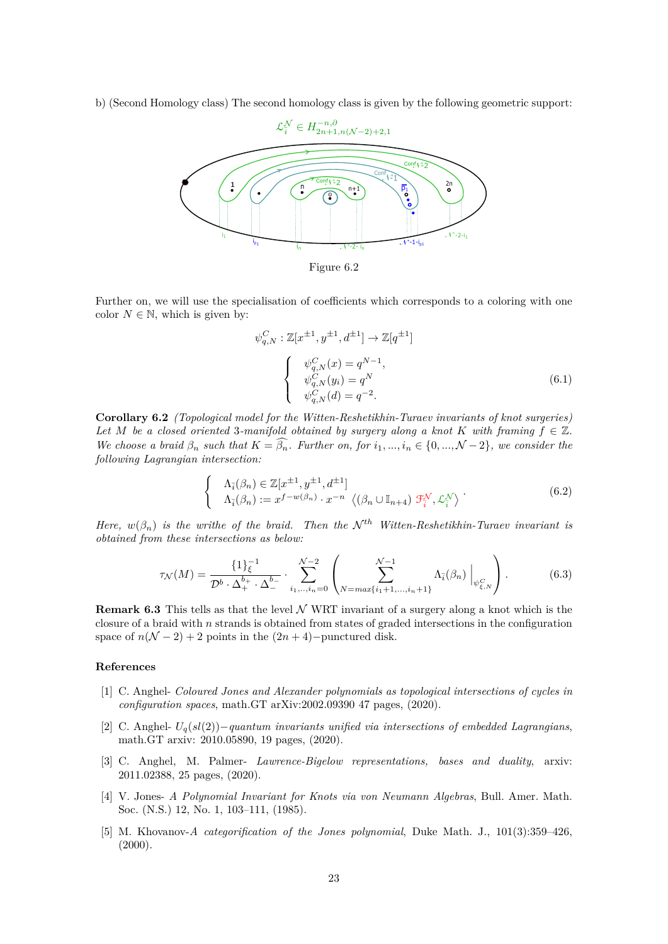b) (Second Homology class) The second homology class is given by the following geometric support:



Figure 6.2

Further on, we will use the specialisation of coefficients which corresponds to a coloring with one color  $N \in \mathbb{N}$ , which is given by:

$$
\psi_{q,N}^C : \mathbb{Z}[x^{\pm 1}, y^{\pm 1}, d^{\pm 1}] \to \mathbb{Z}[q^{\pm 1}]
$$
\n
$$
\begin{cases}\n\psi_{q,N}^C(x) = q^{N-1}, \\
\psi_{q,N}^C(y_i) = q^N \\
\psi_{q,N}^C(d) = q^{-2}.\n\end{cases}
$$
\n(6.1)

**Corollary 6.2** *(Topological model for the Witten-Reshetikhin-Turaev invariants of knot surgeries) Let M be a closed oriented* 3*-manifold obtained by surgery along a knot K with framing*  $f \in \mathbb{Z}$ *. We choose a braid*  $\beta_n$  *such that*  $K = \widehat{\beta_n}$ *. Further on, for*  $i_1, ..., i_n \in \{0, ..., \mathcal{N} - 2\}$ *, we consider the following Lagrangian intersection:*

$$
\begin{cases}\n\Lambda_{\overline{i}}(\beta_n) \in \mathbb{Z}[x^{\pm 1}, y^{\pm 1}, d^{\pm 1}] \\
\Lambda_{\overline{i}}(\beta_n) := x^{f-w(\beta_n)} \cdot x^{-n} \langle (\beta_n \cup \mathbb{I}_{n+4}) \mathcal{F}_{\overline{i}}^{\mathcal{N}}, \mathcal{L}_{\overline{i}}^{\mathcal{N}} \rangle\n\end{cases} (6.2)
$$

*Here,*  $w(\beta_n)$  *is the writhe of the braid. Then the*  $\mathcal{N}^{th}$  *Witten-Reshetikhin-Turaev invariant is obtained from these intersections as below:*

$$
\tau_{\mathcal{N}}(M) = \frac{\{1\}_{\xi}^{-1}}{\mathcal{D}^b \cdot \Delta_+^{b_+} \cdot \Delta_-^{b_-}} \cdot \sum_{i_1, \dots, i_n=0}^{\mathcal{N}-2} \left( \sum_{N=max\{i_1+1, \dots, i_n+1\}}^{\mathcal{N}-1} \Lambda_{\tilde{i}}(\beta_n) \Big|_{\psi_{\xi, N}^C} \right). \tag{6.3}
$$

**Remark 6.3** This tells as that the level  $N$  WRT invariant of a surgery along a knot which is the closure of a braid with *n* strands is obtained from states of graded intersections in the configuration space of  $n(N-2) + 2$  points in the  $(2n + 4)$ −punctured disk.

# **References**

- <span id="page-22-1"></span>[1] C. Anghel- *Coloured Jones and Alexander polynomials as topological intersections of cycles in configuration spaces*, math.GT arXiv:2002.09390 47 pages, (2020).
- <span id="page-22-2"></span>[2] C. Anghel- *Uq*(*sl*(2))−*quantum invariants unified via intersections of embedded Lagrangians*, math.GT arxiv: 2010.05890, 19 pages, (2020).
- <span id="page-22-3"></span>[3] C. Anghel, M. Palmer- *Lawrence-Bigelow representations, bases and duality*, arxiv: 2011.02388, 25 pages, (2020).
- [4] V. Jones- *A Polynomial Invariant for Knots via von Neumann Algebras*, Bull. Amer. Math. Soc. (N.S.) 12, No. 1, 103–111, (1985).
- <span id="page-22-0"></span>[5] M. Khovanov-*A categorification of the Jones polynomial*, Duke Math. J., 101(3):359–426,  $(2000).$